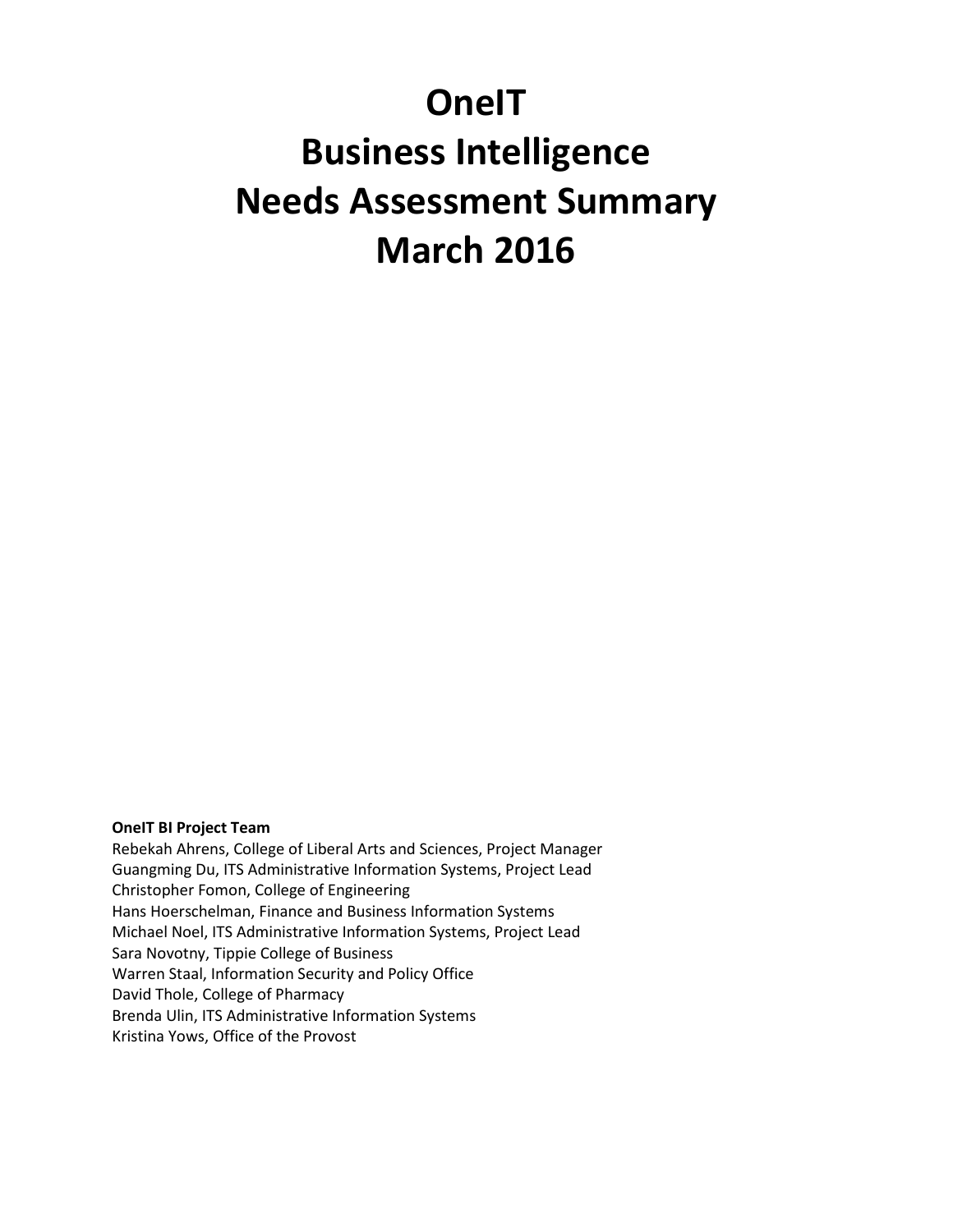# **OneIT Business Intelligence Needs Assessment Summary March 2016**

#### **OneIT BI Project Team**

Rebekah Ahrens, College of Liberal Arts and Sciences, Project Manager Guangming Du, ITS Administrative Information Systems, Project Lead Christopher Fomon, College of Engineering Hans Hoerschelman, Finance and Business Information Systems Michael Noel, ITS Administrative Information Systems, Project Lead Sara Novotny, Tippie College of Business Warren Staal, Information Security and Policy Office David Thole, College of Pharmacy Brenda Ulin, ITS Administrative Information Systems Kristina Yows, Office of the Provost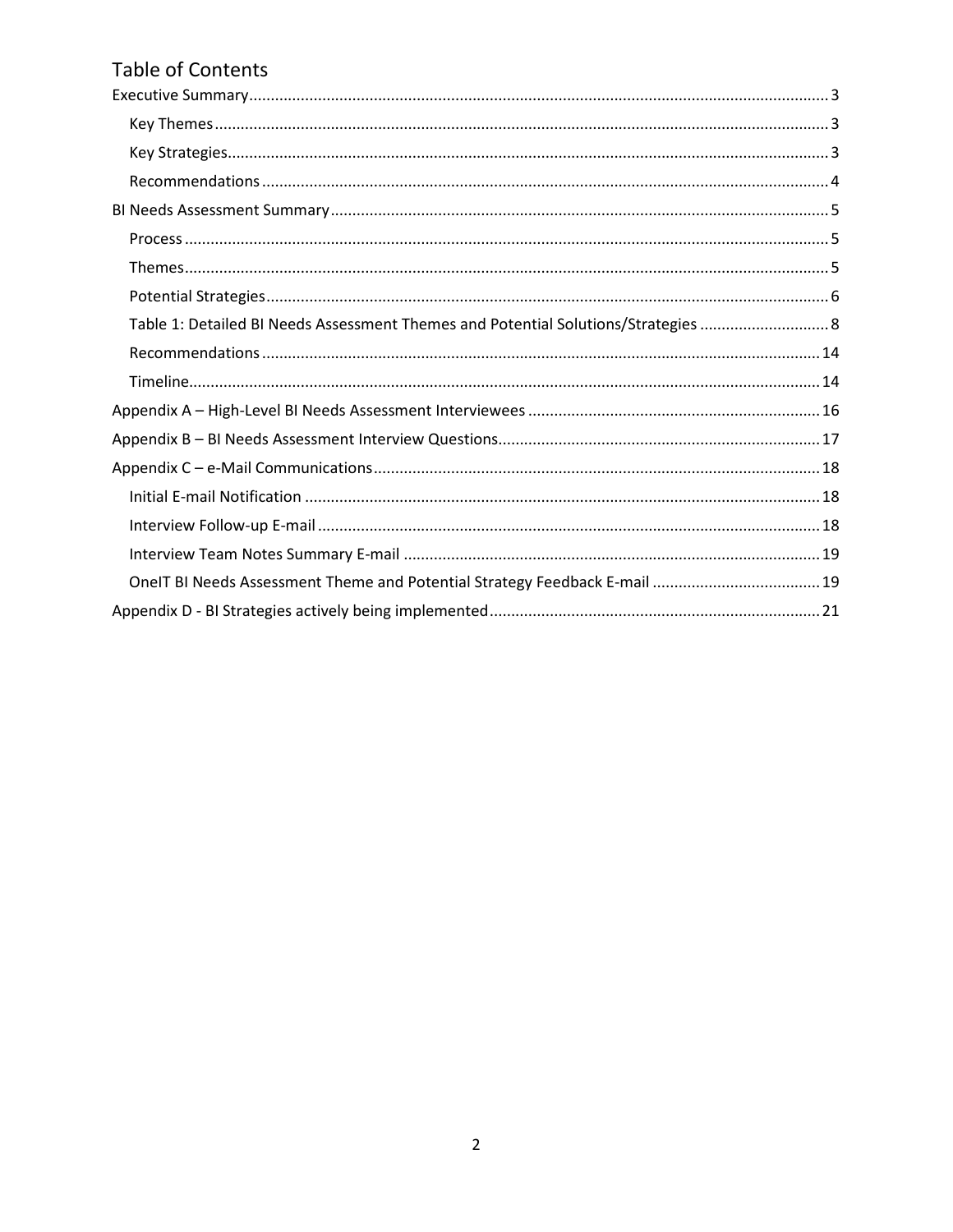## Table of Contents

| Table 1: Detailed BI Needs Assessment Themes and Potential Solutions/Strategies  8 |
|------------------------------------------------------------------------------------|
|                                                                                    |
|                                                                                    |
|                                                                                    |
|                                                                                    |
|                                                                                    |
|                                                                                    |
|                                                                                    |
|                                                                                    |
| OneIT BI Needs Assessment Theme and Potential Strategy Feedback E-mail  19         |
|                                                                                    |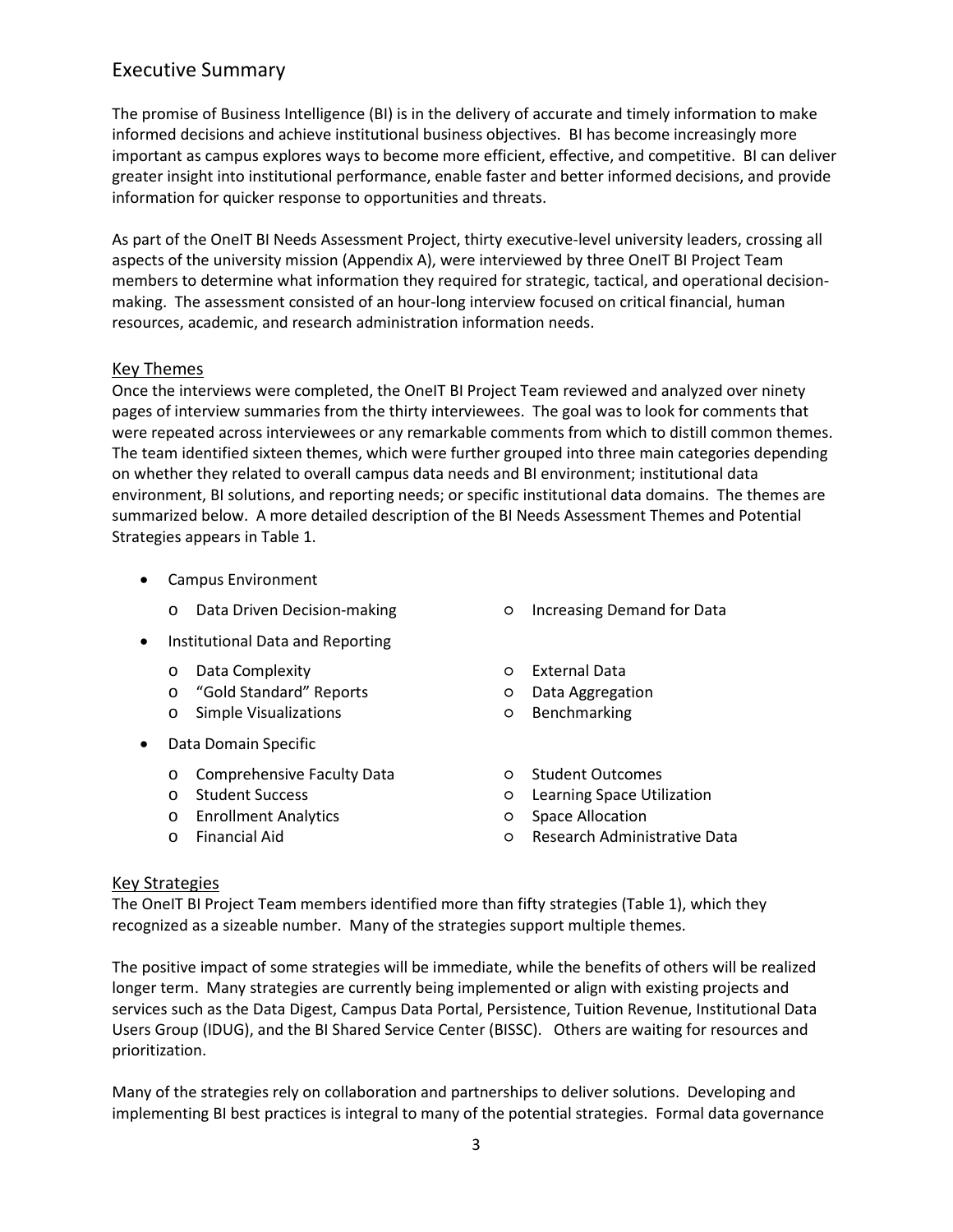## <span id="page-2-0"></span>Executive Summary

The promise of Business Intelligence (BI) is in the delivery of accurate and timely information to make informed decisions and achieve institutional business objectives. BI has become increasingly more important as campus explores ways to become more efficient, effective, and competitive. BI can deliver greater insight into institutional performance, enable faster and better informed decisions, and provide information for quicker response to opportunities and threats.

As part of the OneIT BI Needs Assessment Project, thirty executive-level university leaders, crossing all aspects of the university mission (Appendix A), were interviewed by three OneIT BI Project Team members to determine what information they required for strategic, tactical, and operational decisionmaking. The assessment consisted of an hour-long interview focused on critical financial, human resources, academic, and research administration information needs.

#### <span id="page-2-1"></span>Key Themes

Once the interviews were completed, the OneIT BI Project Team reviewed and analyzed over ninety pages of interview summaries from the thirty interviewees. The goal was to look for comments that were repeated across interviewees or any remarkable comments from which to distill common themes. The team identified sixteen themes, which were further grouped into three main categories depending on whether they related to overall campus data needs and BI environment; institutional data environment, BI solutions, and reporting needs; or specific institutional data domains. The themes are summarized below. A more detailed description of the BI Needs Assessment Themes and Potential Strategies appears in Table 1.

- Campus Environment
	- o Data Driven Decision-making Increasing Demand for Data
- Institutional Data and Reporting
	- o Data Complexity **be a set of the Contract Contract Contract Contract Contract Contract Contract Contract Contract Contract Contract Contract Contract Contract Contract Contract Contract Contract Contract Contract Contrac**
	- o "Gold Standard" Reports **by Contant Contants** o Data Aggregation
	- o Simple Visualizations **by Contract Contract Contract Contract** Contract Contract Contract Contract Contract Contract Contract Contract Contract Contract Contract Contract Contract Contract Contract Contract Contract Cont
- Data Domain Specific
	- o Comprehensive Faculty Data o Student Outcomes<br>
	o Student Success o Learning Space Util
	-
	- Enrollment Analytics
	-
- 
- 
- 
- 
- 
- Learning Space Utilization<br>○ Space Allocation
- 
- o Financial Aid Research Administrative Data

#### <span id="page-2-2"></span>Key Strategies

The OneIT BI Project Team members identified more than fifty strategies (Table 1), which they recognized as a sizeable number. Many of the strategies support multiple themes.

The positive impact of some strategies will be immediate, while the benefits of others will be realized longer term. Many strategies are currently being implemented or align with existing projects and services such as the Data Digest, Campus Data Portal, Persistence, Tuition Revenue, Institutional Data Users Group (IDUG), and the BI Shared Service Center (BISSC). Others are waiting for resources and prioritization.

Many of the strategies rely on collaboration and partnerships to deliver solutions. Developing and implementing BI best practices is integral to many of the potential strategies. Formal data governance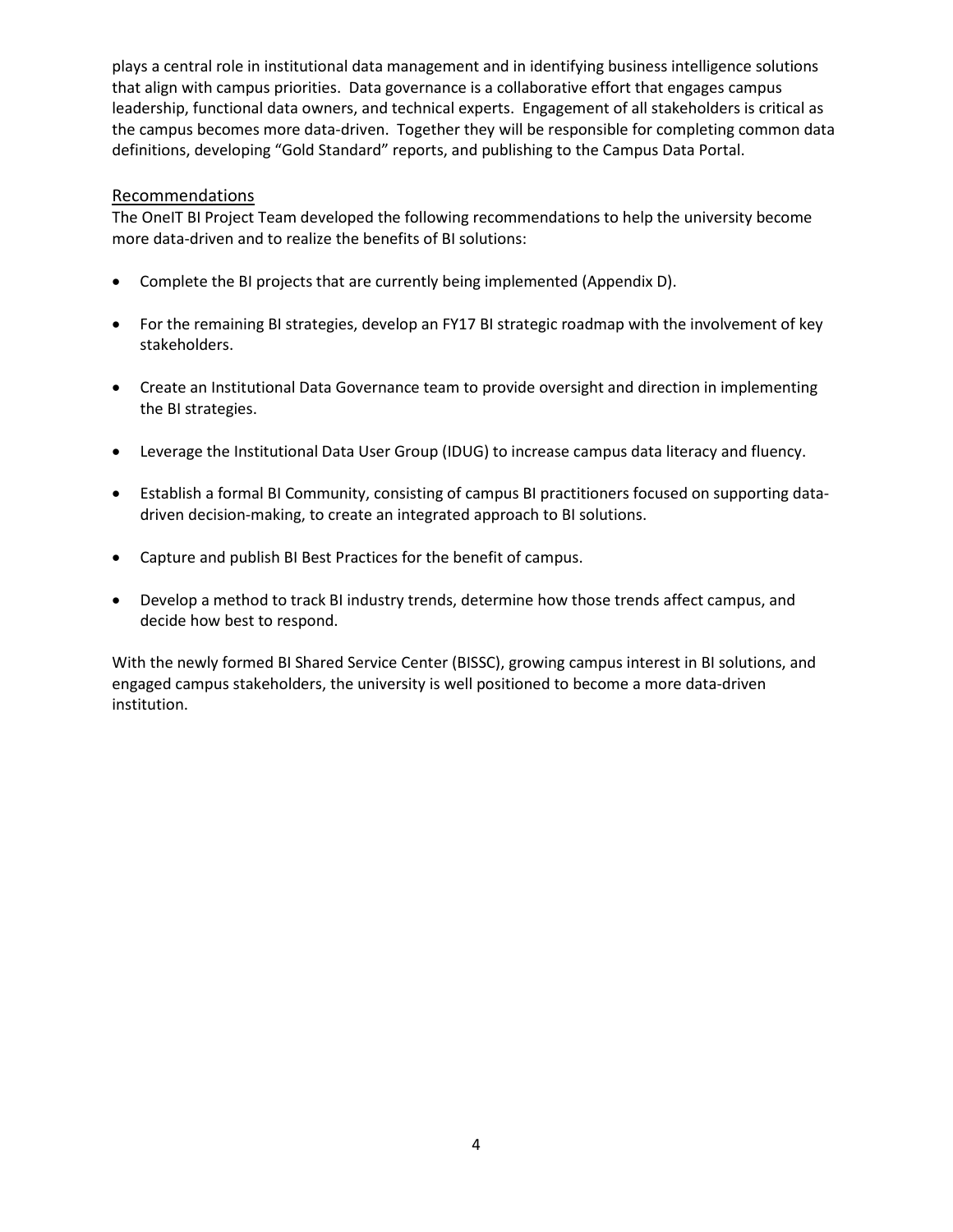plays a central role in institutional data management and in identifying business intelligence solutions that align with campus priorities. Data governance is a collaborative effort that engages campus leadership, functional data owners, and technical experts. Engagement of all stakeholders is critical as the campus becomes more data-driven. Together they will be responsible for completing common data definitions, developing "Gold Standard" reports, and publishing to the Campus Data Portal.

#### <span id="page-3-0"></span>Recommendations

The OneIT BI Project Team developed the following recommendations to help the university become more data-driven and to realize the benefits of BI solutions:

- Complete the BI projects that are currently being implemented (Appendix D).
- For the remaining BI strategies, develop an FY17 BI strategic roadmap with the involvement of key stakeholders.
- Create an Institutional Data Governance team to provide oversight and direction in implementing the BI strategies.
- Leverage the Institutional Data User Group (IDUG) to increase campus data literacy and fluency.
- Establish a formal BI Community, consisting of campus BI practitioners focused on supporting datadriven decision-making, to create an integrated approach to BI solutions.
- Capture and publish BI Best Practices for the benefit of campus.
- Develop a method to track BI industry trends, determine how those trends affect campus, and decide how best to respond.

With the newly formed BI Shared Service Center (BISSC), growing campus interest in BI solutions, and engaged campus stakeholders, the university is well positioned to become a more data-driven institution.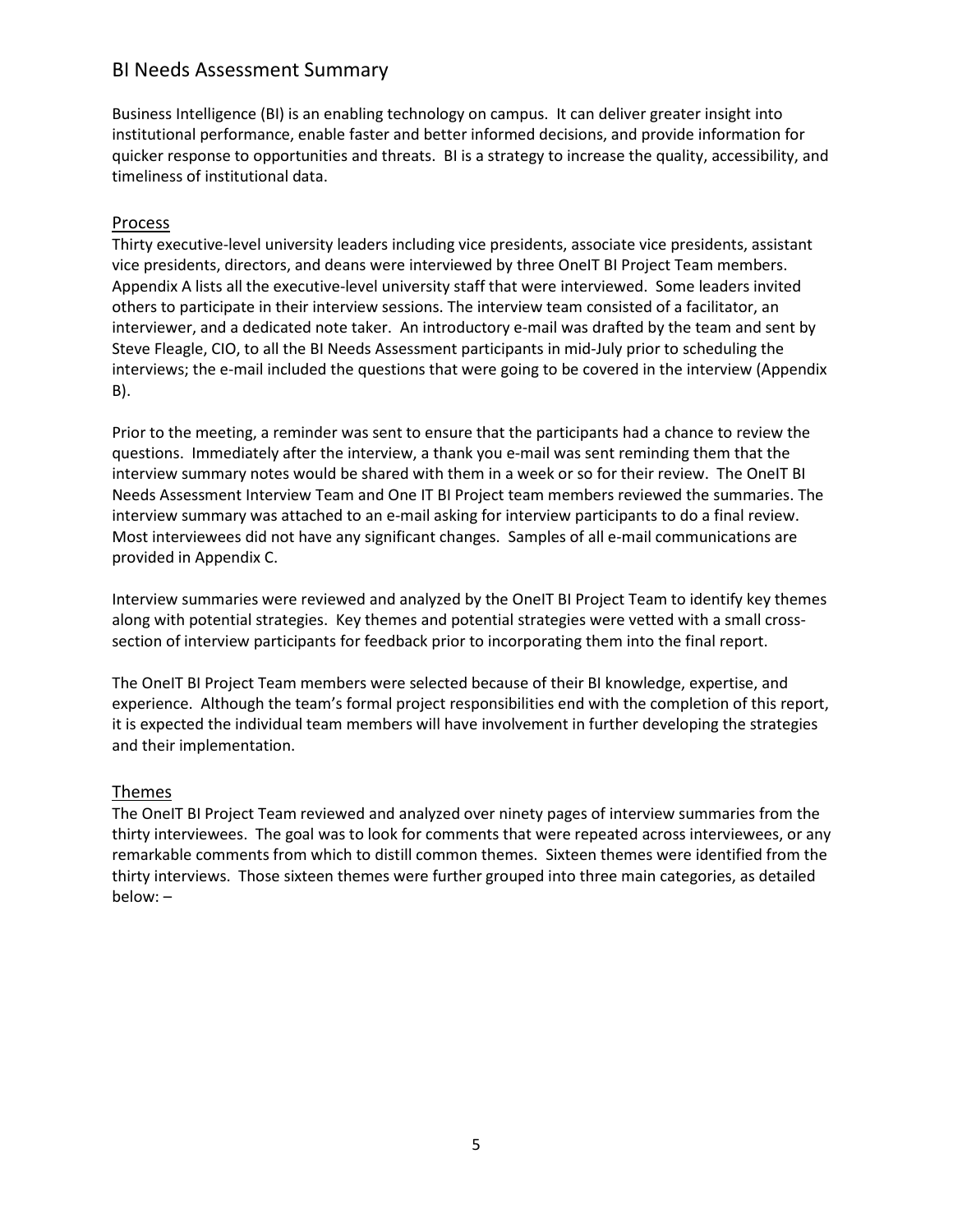### <span id="page-4-0"></span>BI Needs Assessment Summary

Business Intelligence (BI) is an enabling technology on campus. It can deliver greater insight into institutional performance, enable faster and better informed decisions, and provide information for quicker response to opportunities and threats. BI is a strategy to increase the quality, accessibility, and timeliness of institutional data.

#### <span id="page-4-1"></span>Process

Thirty executive-level university leaders including vice presidents, associate vice presidents, assistant vice presidents, directors, and deans were interviewed by three OneIT BI Project Team members. Appendix A lists all the executive-level university staff that were interviewed. Some leaders invited others to participate in their interview sessions. The interview team consisted of a facilitator, an interviewer, and a dedicated note taker. An introductory e-mail was drafted by the team and sent by Steve Fleagle, CIO, to all the BI Needs Assessment participants in mid-July prior to scheduling the interviews; the e-mail included the questions that were going to be covered in the interview (Appendix B).

Prior to the meeting, a reminder was sent to ensure that the participants had a chance to review the questions. Immediately after the interview, a thank you e-mail was sent reminding them that the interview summary notes would be shared with them in a week or so for their review. The OneIT BI Needs Assessment Interview Team and One IT BI Project team members reviewed the summaries. The interview summary was attached to an e-mail asking for interview participants to do a final review. Most interviewees did not have any significant changes. Samples of all e-mail communications are provided in Appendix C.

Interview summaries were reviewed and analyzed by the OneIT BI Project Team to identify key themes along with potential strategies. Key themes and potential strategies were vetted with a small crosssection of interview participants for feedback prior to incorporating them into the final report.

The OneIT BI Project Team members were selected because of their BI knowledge, expertise, and experience. Although the team's formal project responsibilities end with the completion of this report, it is expected the individual team members will have involvement in further developing the strategies and their implementation.

#### <span id="page-4-2"></span>Themes

The OneIT BI Project Team reviewed and analyzed over ninety pages of interview summaries from the thirty interviewees. The goal was to look for comments that were repeated across interviewees, or any remarkable comments from which to distill common themes. Sixteen themes were identified from the thirty interviews. Those sixteen themes were further grouped into three main categories, as detailed below: –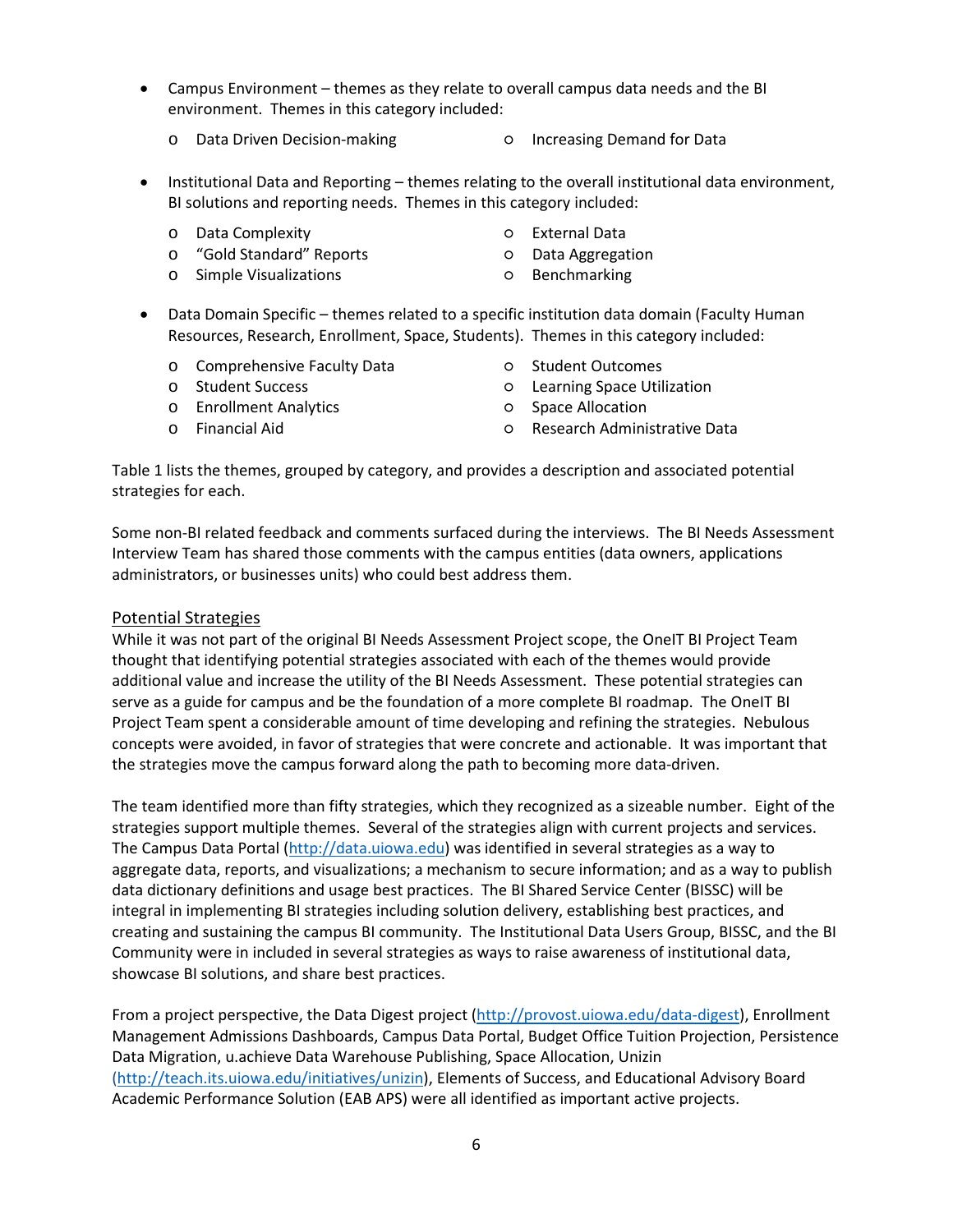- Campus Environment themes as they relate to overall campus data needs and the BI environment. Themes in this category included:
	- o Data Driven Decision-making Increasing Demand for Data
- 
- Institutional Data and Reporting themes relating to the overall institutional data environment, BI solutions and reporting needs. Themes in this category included:
	- o Data Complexity **be a set of the Contract Contract Contract Contract Contract Contract Contract Contract Contract Contract Contract Contract Contract Contract Contract Contract Contract Contract Contract Contract Contrac**
	- o "Gold Standard" Reports **by Contant Contants** on Data Aggregation
	- o Simple Visualizations Benchmarking
- 
- 
- 
- Data Domain Specific themes related to a specific institution data domain (Faculty Human Resources, Research, Enrollment, Space, Students). Themes in this category included:
	- o Comprehensive Faculty Data o Student Outcomes<br>
	o Student Success o Learning Space Util
	-
	- o Enrollment Analytics Space Allocation
- 
- $O$  Learning Space Utilization
- - o Financial Aid Research Administrative Data
- 

Table 1 lists the themes, grouped by category, and provides a description and associated potential strategies for each.

Some non-BI related feedback and comments surfaced during the interviews. The BI Needs Assessment Interview Team has shared those comments with the campus entities (data owners, applications administrators, or businesses units) who could best address them.

#### <span id="page-5-0"></span>Potential Strategies

While it was not part of the original BI Needs Assessment Project scope, the OneIT BI Project Team thought that identifying potential strategies associated with each of the themes would provide additional value and increase the utility of the BI Needs Assessment. These potential strategies can serve as a guide for campus and be the foundation of a more complete BI roadmap. The OneIT BI Project Team spent a considerable amount of time developing and refining the strategies. Nebulous concepts were avoided, in favor of strategies that were concrete and actionable. It was important that the strategies move the campus forward along the path to becoming more data-driven.

The team identified more than fifty strategies, which they recognized as a sizeable number. Eight of the strategies support multiple themes. Several of the strategies align with current projects and services. The Campus Data Portal [\(http://data.uiowa.edu\)](http://data.uiowa.edu/) was identified in several strategies as a way to aggregate data, reports, and visualizations; a mechanism to secure information; and as a way to publish data dictionary definitions and usage best practices. The BI Shared Service Center (BISSC) will be integral in implementing BI strategies including solution delivery, establishing best practices, and creating and sustaining the campus BI community. The Institutional Data Users Group, BISSC, and the BI Community were in included in several strategies as ways to raise awareness of institutional data, showcase BI solutions, and share best practices.

From a project perspective, the Data Digest project [\(http://provost.uiowa.edu/data-digest\)](http://provost.uiowa.edu/data-digest), Enrollment Management Admissions Dashboards, Campus Data Portal, Budget Office Tuition Projection, Persistence Data Migration, u.achieve Data Warehouse Publishing, Space Allocation, Unizin [\(http://teach.its.uiowa.edu/initiatives/unizin\)](http://teach.its.uiowa.edu/initiatives/unizin), Elements of Success, and Educational Advisory Board Academic Performance Solution (EAB APS) were all identified as important active projects.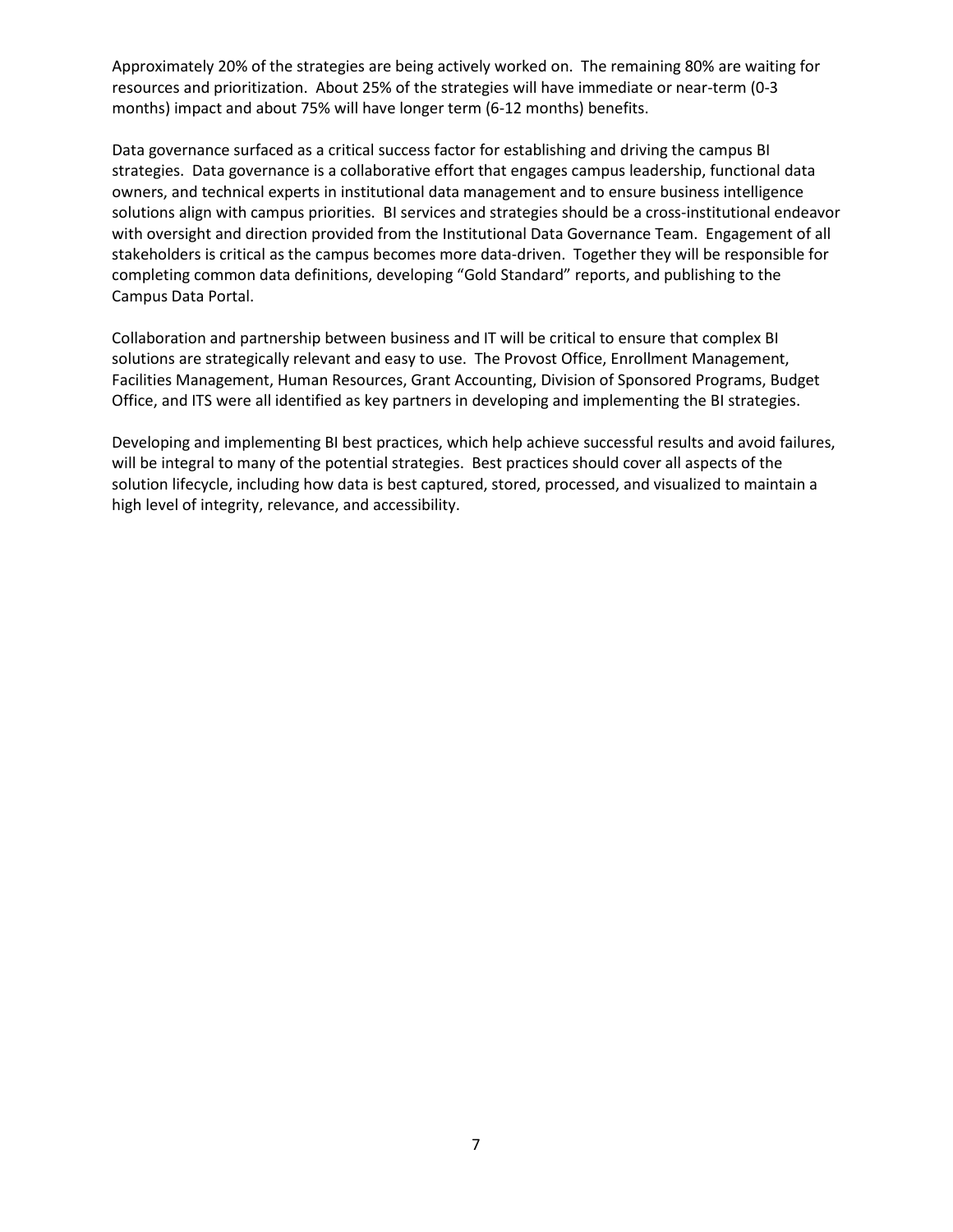Approximately 20% of the strategies are being actively worked on. The remaining 80% are waiting for resources and prioritization. About 25% of the strategies will have immediate or near-term (0-3 months) impact and about 75% will have longer term (6-12 months) benefits.

Data governance surfaced as a critical success factor for establishing and driving the campus BI strategies. Data governance is a collaborative effort that engages campus leadership, functional data owners, and technical experts in institutional data management and to ensure business intelligence solutions align with campus priorities. BI services and strategies should be a cross-institutional endeavor with oversight and direction provided from the Institutional Data Governance Team. Engagement of all stakeholders is critical as the campus becomes more data-driven. Together they will be responsible for completing common data definitions, developing "Gold Standard" reports, and publishing to the Campus Data Portal.

Collaboration and partnership between business and IT will be critical to ensure that complex BI solutions are strategically relevant and easy to use. The Provost Office, Enrollment Management, Facilities Management, Human Resources, Grant Accounting, Division of Sponsored Programs, Budget Office, and ITS were all identified as key partners in developing and implementing the BI strategies.

Developing and implementing BI best practices, which help achieve successful results and avoid failures, will be integral to many of the potential strategies. Best practices should cover all aspects of the solution lifecycle, including how data is best captured, stored, processed, and visualized to maintain a high level of integrity, relevance, and accessibility.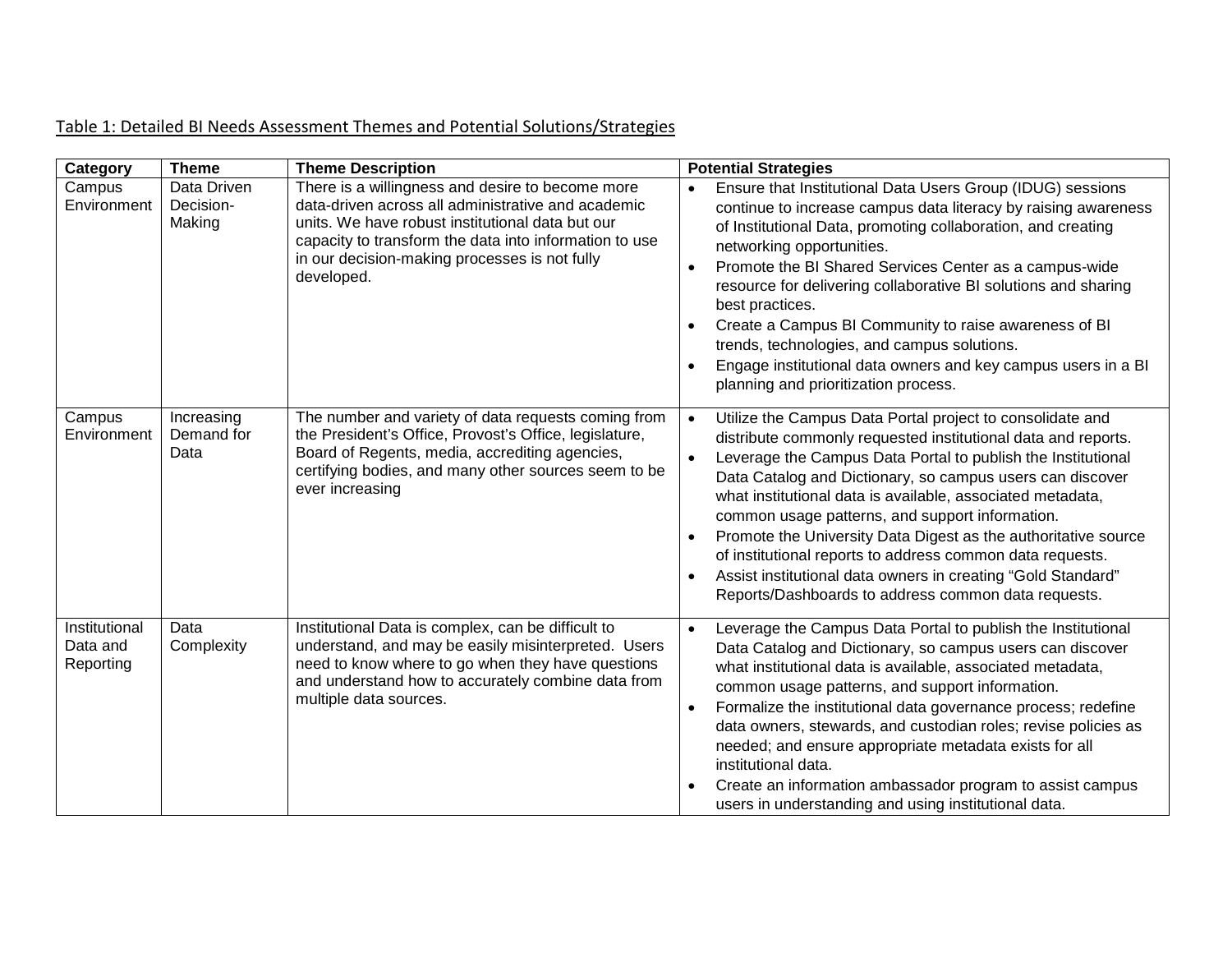## Table 1: Detailed BI Needs Assessment Themes and Potential Solutions/Strategies

<span id="page-7-0"></span>

| Category                               | <b>Theme</b>                       | <b>Theme Description</b>                                                                                                                                                                                                                                                            | <b>Potential Strategies</b>                                                                                                                                                                                                                                                                                                                                                                                                                                                                                                                                                                                                                                                        |
|----------------------------------------|------------------------------------|-------------------------------------------------------------------------------------------------------------------------------------------------------------------------------------------------------------------------------------------------------------------------------------|------------------------------------------------------------------------------------------------------------------------------------------------------------------------------------------------------------------------------------------------------------------------------------------------------------------------------------------------------------------------------------------------------------------------------------------------------------------------------------------------------------------------------------------------------------------------------------------------------------------------------------------------------------------------------------|
| Campus<br>Environment                  | Data Driven<br>Decision-<br>Making | There is a willingness and desire to become more<br>data-driven across all administrative and academic<br>units. We have robust institutional data but our<br>capacity to transform the data into information to use<br>in our decision-making processes is not fully<br>developed. | Ensure that Institutional Data Users Group (IDUG) sessions<br>$\bullet$<br>continue to increase campus data literacy by raising awareness<br>of Institutional Data, promoting collaboration, and creating<br>networking opportunities.<br>Promote the BI Shared Services Center as a campus-wide<br>$\bullet$<br>resource for delivering collaborative BI solutions and sharing<br>best practices.<br>Create a Campus BI Community to raise awareness of BI<br>$\bullet$<br>trends, technologies, and campus solutions.<br>Engage institutional data owners and key campus users in a BI<br>planning and prioritization process.                                                   |
| Campus<br>Environment                  | Increasing<br>Demand for<br>Data   | The number and variety of data requests coming from<br>the President's Office, Provost's Office, legislature,<br>Board of Regents, media, accrediting agencies,<br>certifying bodies, and many other sources seem to be<br>ever increasing                                          | Utilize the Campus Data Portal project to consolidate and<br>$\bullet$<br>distribute commonly requested institutional data and reports.<br>Leverage the Campus Data Portal to publish the Institutional<br>$\bullet$<br>Data Catalog and Dictionary, so campus users can discover<br>what institutional data is available, associated metadata,<br>common usage patterns, and support information.<br>Promote the University Data Digest as the authoritative source<br>$\bullet$<br>of institutional reports to address common data requests.<br>Assist institutional data owners in creating "Gold Standard"<br>$\bullet$<br>Reports/Dashboards to address common data requests. |
| Institutional<br>Data and<br>Reporting | Data<br>Complexity                 | Institutional Data is complex, can be difficult to<br>understand, and may be easily misinterpreted. Users<br>need to know where to go when they have questions<br>and understand how to accurately combine data from<br>multiple data sources.                                      | Leverage the Campus Data Portal to publish the Institutional<br>$\bullet$<br>Data Catalog and Dictionary, so campus users can discover<br>what institutional data is available, associated metadata,<br>common usage patterns, and support information.<br>Formalize the institutional data governance process; redefine<br>$\bullet$<br>data owners, stewards, and custodian roles; revise policies as<br>needed; and ensure appropriate metadata exists for all<br>institutional data.<br>Create an information ambassador program to assist campus<br>$\bullet$<br>users in understanding and using institutional data.                                                         |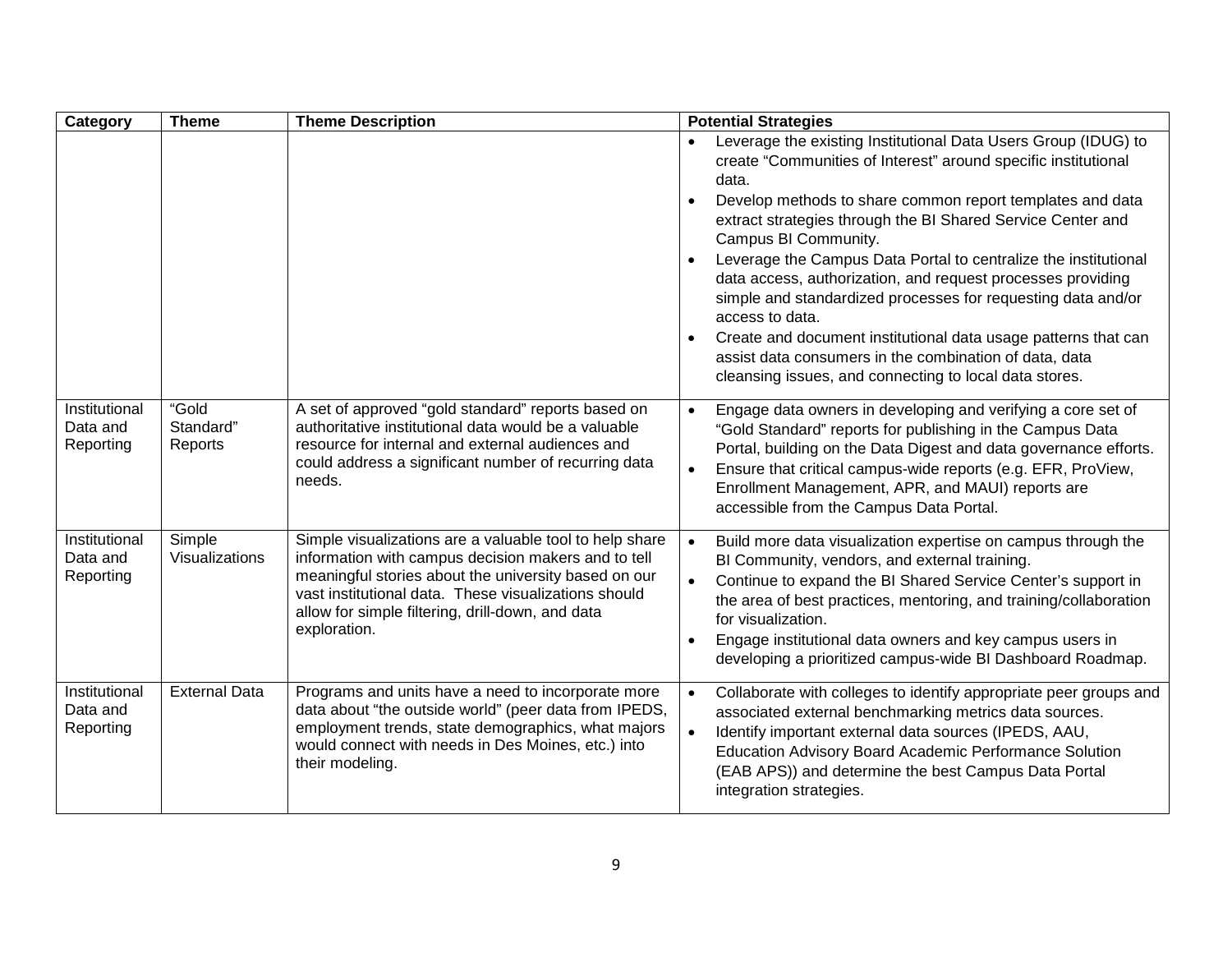| Category                               | <b>Theme</b>                    | <b>Theme Description</b>                                                                                                                                                                                                                                                                           | <b>Potential Strategies</b>                                                                                                                                                                                                                                                                                                                                                                                                   |
|----------------------------------------|---------------------------------|----------------------------------------------------------------------------------------------------------------------------------------------------------------------------------------------------------------------------------------------------------------------------------------------------|-------------------------------------------------------------------------------------------------------------------------------------------------------------------------------------------------------------------------------------------------------------------------------------------------------------------------------------------------------------------------------------------------------------------------------|
|                                        |                                 |                                                                                                                                                                                                                                                                                                    | Leverage the existing Institutional Data Users Group (IDUG) to<br>create "Communities of Interest" around specific institutional<br>data.<br>Develop methods to share common report templates and data<br>$\bullet$<br>extract strategies through the BI Shared Service Center and<br>Campus BI Community.                                                                                                                    |
|                                        |                                 |                                                                                                                                                                                                                                                                                                    | Leverage the Campus Data Portal to centralize the institutional<br>data access, authorization, and request processes providing<br>simple and standardized processes for requesting data and/or<br>access to data.<br>Create and document institutional data usage patterns that can<br>$\bullet$<br>assist data consumers in the combination of data, data<br>cleansing issues, and connecting to local data stores.          |
| Institutional<br>Data and<br>Reporting | "Gold<br>Standard"<br>Reports   | A set of approved "gold standard" reports based on<br>authoritative institutional data would be a valuable<br>resource for internal and external audiences and<br>could address a significant number of recurring data<br>needs.                                                                   | Engage data owners in developing and verifying a core set of<br>$\bullet$<br>"Gold Standard" reports for publishing in the Campus Data<br>Portal, building on the Data Digest and data governance efforts.<br>Ensure that critical campus-wide reports (e.g. EFR, ProView,<br>$\bullet$<br>Enrollment Management, APR, and MAUI) reports are<br>accessible from the Campus Data Portal.                                       |
| Institutional<br>Data and<br>Reporting | Simple<br><b>Visualizations</b> | Simple visualizations are a valuable tool to help share<br>information with campus decision makers and to tell<br>meaningful stories about the university based on our<br>vast institutional data. These visualizations should<br>allow for simple filtering, drill-down, and data<br>exploration. | Build more data visualization expertise on campus through the<br>BI Community, vendors, and external training.<br>Continue to expand the BI Shared Service Center's support in<br>$\bullet$<br>the area of best practices, mentoring, and training/collaboration<br>for visualization.<br>Engage institutional data owners and key campus users in<br>$\bullet$<br>developing a prioritized campus-wide BI Dashboard Roadmap. |
| Institutional<br>Data and<br>Reporting | <b>External Data</b>            | Programs and units have a need to incorporate more<br>data about "the outside world" (peer data from IPEDS,<br>employment trends, state demographics, what majors<br>would connect with needs in Des Moines, etc.) into<br>their modeling.                                                         | Collaborate with colleges to identify appropriate peer groups and<br>$\bullet$<br>associated external benchmarking metrics data sources.<br>Identify important external data sources (IPEDS, AAU,<br>$\bullet$<br>Education Advisory Board Academic Performance Solution<br>(EAB APS)) and determine the best Campus Data Portal<br>integration strategies.                                                                   |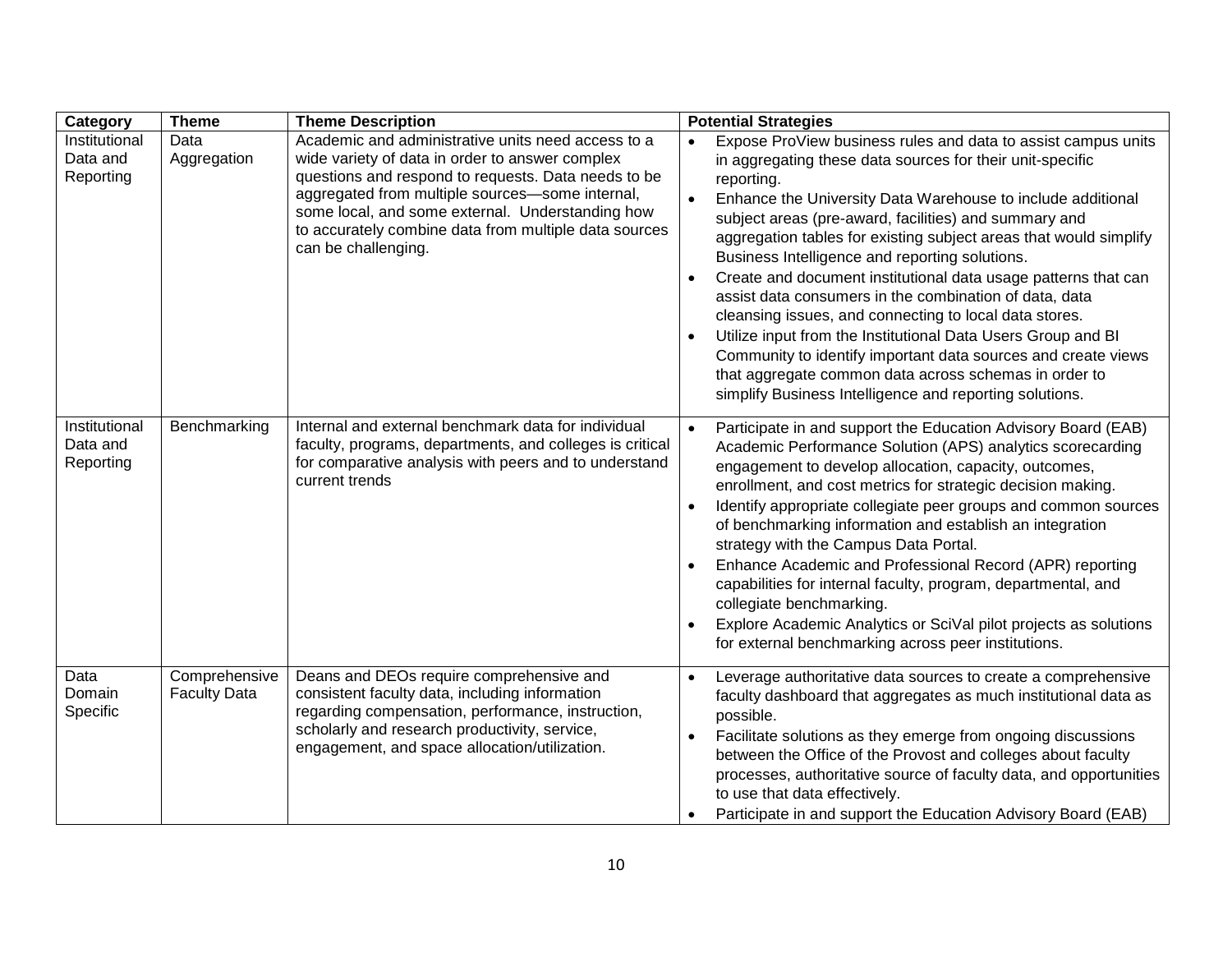| Category                               | <b>Theme</b>                         | <b>Theme Description</b>                                                                                                                                                                                                                                                                                                                            | <b>Potential Strategies</b>                                                                                                                                                                                                                                                                                                                                                                                                                                                                                                                                                                                                                                                                                                                                                                                                                                               |
|----------------------------------------|--------------------------------------|-----------------------------------------------------------------------------------------------------------------------------------------------------------------------------------------------------------------------------------------------------------------------------------------------------------------------------------------------------|---------------------------------------------------------------------------------------------------------------------------------------------------------------------------------------------------------------------------------------------------------------------------------------------------------------------------------------------------------------------------------------------------------------------------------------------------------------------------------------------------------------------------------------------------------------------------------------------------------------------------------------------------------------------------------------------------------------------------------------------------------------------------------------------------------------------------------------------------------------------------|
| Institutional<br>Data and<br>Reporting | Data<br>Aggregation                  | Academic and administrative units need access to a<br>wide variety of data in order to answer complex<br>questions and respond to requests. Data needs to be<br>aggregated from multiple sources-some internal,<br>some local, and some external. Understanding how<br>to accurately combine data from multiple data sources<br>can be challenging. | Expose ProView business rules and data to assist campus units<br>in aggregating these data sources for their unit-specific<br>reporting.<br>Enhance the University Data Warehouse to include additional<br>$\bullet$<br>subject areas (pre-award, facilities) and summary and<br>aggregation tables for existing subject areas that would simplify<br>Business Intelligence and reporting solutions.<br>Create and document institutional data usage patterns that can<br>$\bullet$<br>assist data consumers in the combination of data, data<br>cleansing issues, and connecting to local data stores.<br>Utilize input from the Institutional Data Users Group and BI<br>$\bullet$<br>Community to identify important data sources and create views<br>that aggregate common data across schemas in order to<br>simplify Business Intelligence and reporting solutions. |
| Institutional<br>Data and<br>Reporting | Benchmarking                         | Internal and external benchmark data for individual<br>faculty, programs, departments, and colleges is critical<br>for comparative analysis with peers and to understand<br>current trends                                                                                                                                                          | Participate in and support the Education Advisory Board (EAB)<br>$\bullet$<br>Academic Performance Solution (APS) analytics scorecarding<br>engagement to develop allocation, capacity, outcomes,<br>enrollment, and cost metrics for strategic decision making.<br>Identify appropriate collegiate peer groups and common sources<br>$\bullet$<br>of benchmarking information and establish an integration<br>strategy with the Campus Data Portal.<br>Enhance Academic and Professional Record (APR) reporting<br>capabilities for internal faculty, program, departmental, and<br>collegiate benchmarking.<br>Explore Academic Analytics or SciVal pilot projects as solutions<br>for external benchmarking across peer institutions.                                                                                                                                  |
| Data<br>Domain<br>Specific             | Comprehensive<br><b>Faculty Data</b> | Deans and DEOs require comprehensive and<br>consistent faculty data, including information<br>regarding compensation, performance, instruction,<br>scholarly and research productivity, service,<br>engagement, and space allocation/utilization.                                                                                                   | Leverage authoritative data sources to create a comprehensive<br>$\bullet$<br>faculty dashboard that aggregates as much institutional data as<br>possible.<br>Facilitate solutions as they emerge from ongoing discussions<br>$\bullet$<br>between the Office of the Provost and colleges about faculty<br>processes, authoritative source of faculty data, and opportunities<br>to use that data effectively.<br>Participate in and support the Education Advisory Board (EAB)                                                                                                                                                                                                                                                                                                                                                                                           |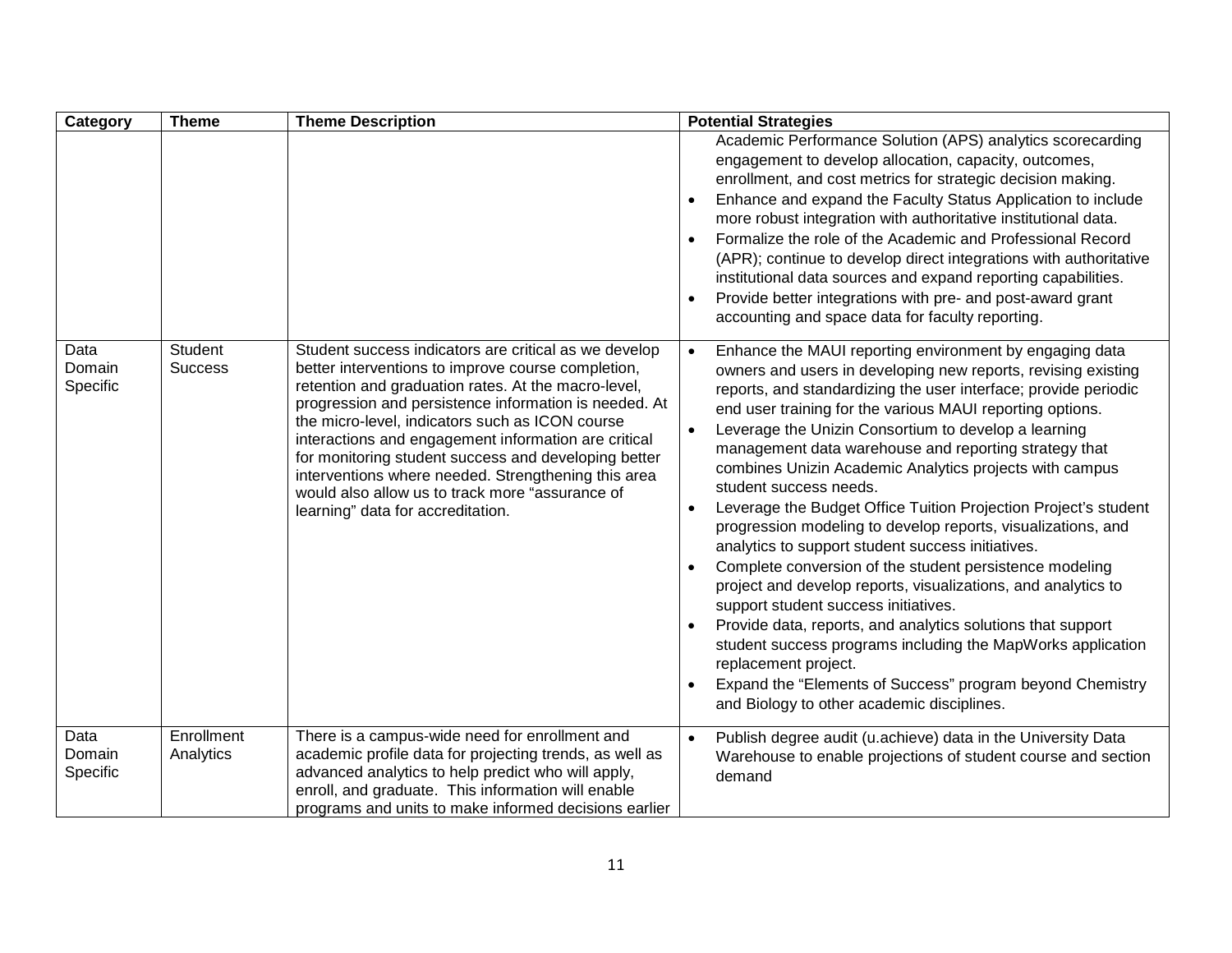| Category                   | <b>Theme</b>              | <b>Theme Description</b>                                                                                                                                                                                                                                                                                                                                                                                                                                                                                                                      | <b>Potential Strategies</b>                                                                                                                                                                                                                                                                                                                                                                                                                                                                                                                                                                                                                                                                                                                                                                                                                                                                                                                                                                                                                                                                                                        |
|----------------------------|---------------------------|-----------------------------------------------------------------------------------------------------------------------------------------------------------------------------------------------------------------------------------------------------------------------------------------------------------------------------------------------------------------------------------------------------------------------------------------------------------------------------------------------------------------------------------------------|------------------------------------------------------------------------------------------------------------------------------------------------------------------------------------------------------------------------------------------------------------------------------------------------------------------------------------------------------------------------------------------------------------------------------------------------------------------------------------------------------------------------------------------------------------------------------------------------------------------------------------------------------------------------------------------------------------------------------------------------------------------------------------------------------------------------------------------------------------------------------------------------------------------------------------------------------------------------------------------------------------------------------------------------------------------------------------------------------------------------------------|
|                            |                           |                                                                                                                                                                                                                                                                                                                                                                                                                                                                                                                                               | Academic Performance Solution (APS) analytics scorecarding<br>engagement to develop allocation, capacity, outcomes,<br>enrollment, and cost metrics for strategic decision making.<br>Enhance and expand the Faculty Status Application to include<br>$\bullet$<br>more robust integration with authoritative institutional data.<br>Formalize the role of the Academic and Professional Record<br>(APR); continue to develop direct integrations with authoritative<br>institutional data sources and expand reporting capabilities.<br>Provide better integrations with pre- and post-award grant<br>accounting and space data for faculty reporting.                                                                                                                                                                                                                                                                                                                                                                                                                                                                            |
| Data<br>Domain<br>Specific | Student<br><b>Success</b> | Student success indicators are critical as we develop<br>better interventions to improve course completion,<br>retention and graduation rates. At the macro-level,<br>progression and persistence information is needed. At<br>the micro-level, indicators such as ICON course<br>interactions and engagement information are critical<br>for monitoring student success and developing better<br>interventions where needed. Strengthening this area<br>would also allow us to track more "assurance of<br>learning" data for accreditation. | Enhance the MAUI reporting environment by engaging data<br>$\bullet$<br>owners and users in developing new reports, revising existing<br>reports, and standardizing the user interface; provide periodic<br>end user training for the various MAUI reporting options.<br>Leverage the Unizin Consortium to develop a learning<br>management data warehouse and reporting strategy that<br>combines Unizin Academic Analytics projects with campus<br>student success needs.<br>Leverage the Budget Office Tuition Projection Project's student<br>$\bullet$<br>progression modeling to develop reports, visualizations, and<br>analytics to support student success initiatives.<br>Complete conversion of the student persistence modeling<br>$\bullet$<br>project and develop reports, visualizations, and analytics to<br>support student success initiatives.<br>Provide data, reports, and analytics solutions that support<br>student success programs including the MapWorks application<br>replacement project.<br>Expand the "Elements of Success" program beyond Chemistry<br>and Biology to other academic disciplines. |
| Data<br>Domain<br>Specific | Enrollment<br>Analytics   | There is a campus-wide need for enrollment and<br>academic profile data for projecting trends, as well as<br>advanced analytics to help predict who will apply,<br>enroll, and graduate. This information will enable<br>programs and units to make informed decisions earlier                                                                                                                                                                                                                                                                | Publish degree audit (u.achieve) data in the University Data<br>$\bullet$<br>Warehouse to enable projections of student course and section<br>demand                                                                                                                                                                                                                                                                                                                                                                                                                                                                                                                                                                                                                                                                                                                                                                                                                                                                                                                                                                               |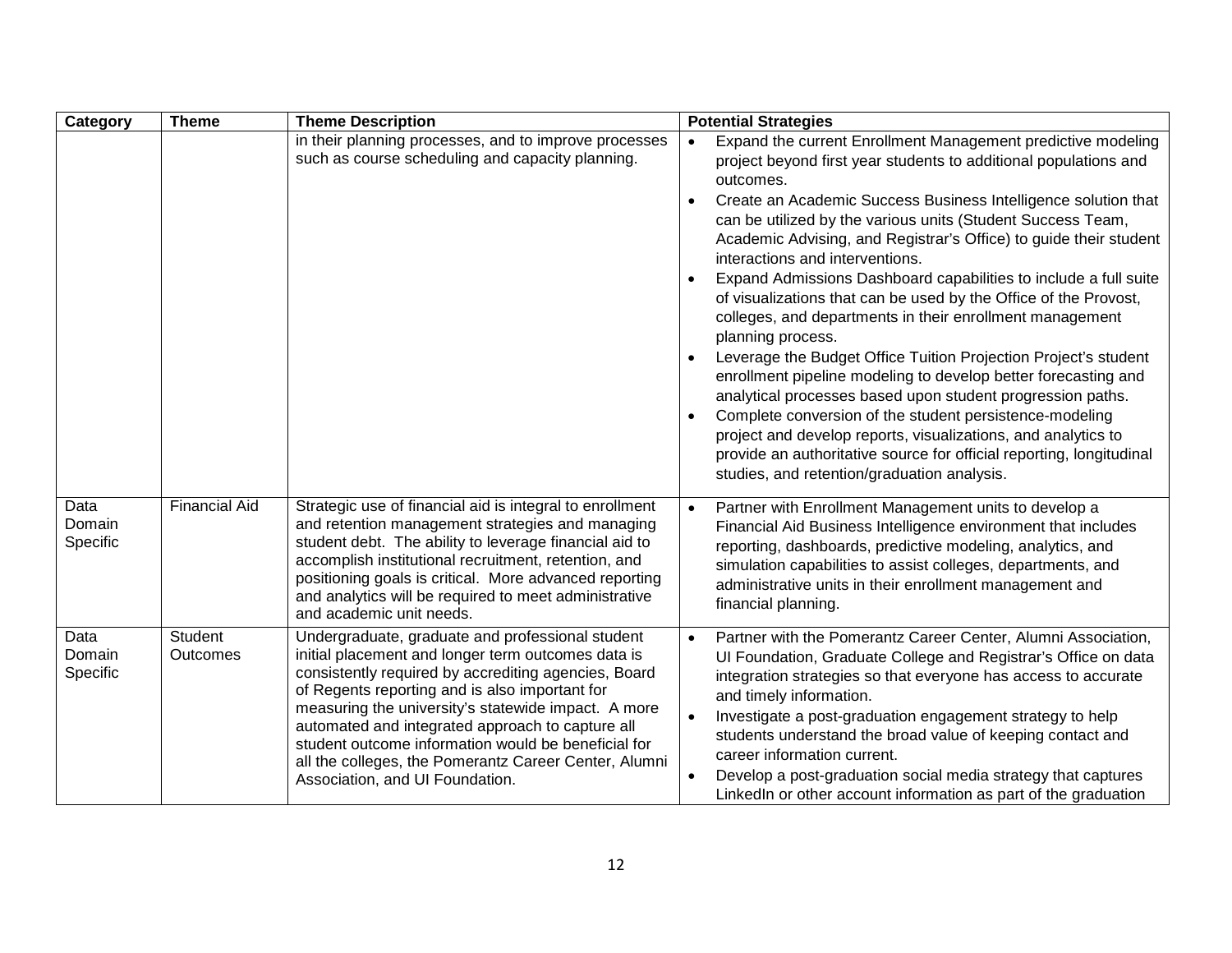| Category                   | <b>Theme</b>         | <b>Theme Description</b>                                                                                                                                                                                                                                                                                                                                                                                                                                                       | <b>Potential Strategies</b>                                                                                                                                                                                                                                                                                                                                                                                                                                                                                                                                                                                                                                                                                                                                                                                                                                                                                                                                                                                                                                                                                  |
|----------------------------|----------------------|--------------------------------------------------------------------------------------------------------------------------------------------------------------------------------------------------------------------------------------------------------------------------------------------------------------------------------------------------------------------------------------------------------------------------------------------------------------------------------|--------------------------------------------------------------------------------------------------------------------------------------------------------------------------------------------------------------------------------------------------------------------------------------------------------------------------------------------------------------------------------------------------------------------------------------------------------------------------------------------------------------------------------------------------------------------------------------------------------------------------------------------------------------------------------------------------------------------------------------------------------------------------------------------------------------------------------------------------------------------------------------------------------------------------------------------------------------------------------------------------------------------------------------------------------------------------------------------------------------|
|                            |                      | in their planning processes, and to improve processes<br>such as course scheduling and capacity planning.                                                                                                                                                                                                                                                                                                                                                                      | Expand the current Enrollment Management predictive modeling<br>$\bullet$<br>project beyond first year students to additional populations and<br>outcomes.<br>Create an Academic Success Business Intelligence solution that<br>$\bullet$<br>can be utilized by the various units (Student Success Team,<br>Academic Advising, and Registrar's Office) to guide their student<br>interactions and interventions.<br>Expand Admissions Dashboard capabilities to include a full suite<br>of visualizations that can be used by the Office of the Provost,<br>colleges, and departments in their enrollment management<br>planning process.<br>Leverage the Budget Office Tuition Projection Project's student<br>$\bullet$<br>enrollment pipeline modeling to develop better forecasting and<br>analytical processes based upon student progression paths.<br>Complete conversion of the student persistence-modeling<br>project and develop reports, visualizations, and analytics to<br>provide an authoritative source for official reporting, longitudinal<br>studies, and retention/graduation analysis. |
| Data<br>Domain<br>Specific | <b>Financial Aid</b> | Strategic use of financial aid is integral to enrollment<br>and retention management strategies and managing<br>student debt. The ability to leverage financial aid to<br>accomplish institutional recruitment, retention, and<br>positioning goals is critical. More advanced reporting<br>and analytics will be required to meet administrative<br>and academic unit needs.                                                                                                  | Partner with Enrollment Management units to develop a<br>$\bullet$<br>Financial Aid Business Intelligence environment that includes<br>reporting, dashboards, predictive modeling, analytics, and<br>simulation capabilities to assist colleges, departments, and<br>administrative units in their enrollment management and<br>financial planning.                                                                                                                                                                                                                                                                                                                                                                                                                                                                                                                                                                                                                                                                                                                                                          |
| Data<br>Domain<br>Specific | Student<br>Outcomes  | Undergraduate, graduate and professional student<br>initial placement and longer term outcomes data is<br>consistently required by accrediting agencies, Board<br>of Regents reporting and is also important for<br>measuring the university's statewide impact. A more<br>automated and integrated approach to capture all<br>student outcome information would be beneficial for<br>all the colleges, the Pomerantz Career Center, Alumni<br>Association, and UI Foundation. | Partner with the Pomerantz Career Center, Alumni Association,<br>$\bullet$<br>Ul Foundation, Graduate College and Registrar's Office on data<br>integration strategies so that everyone has access to accurate<br>and timely information.<br>Investigate a post-graduation engagement strategy to help<br>students understand the broad value of keeping contact and<br>career information current.<br>Develop a post-graduation social media strategy that captures<br>$\bullet$<br>LinkedIn or other account information as part of the graduation                                                                                                                                                                                                                                                                                                                                                                                                                                                                                                                                                         |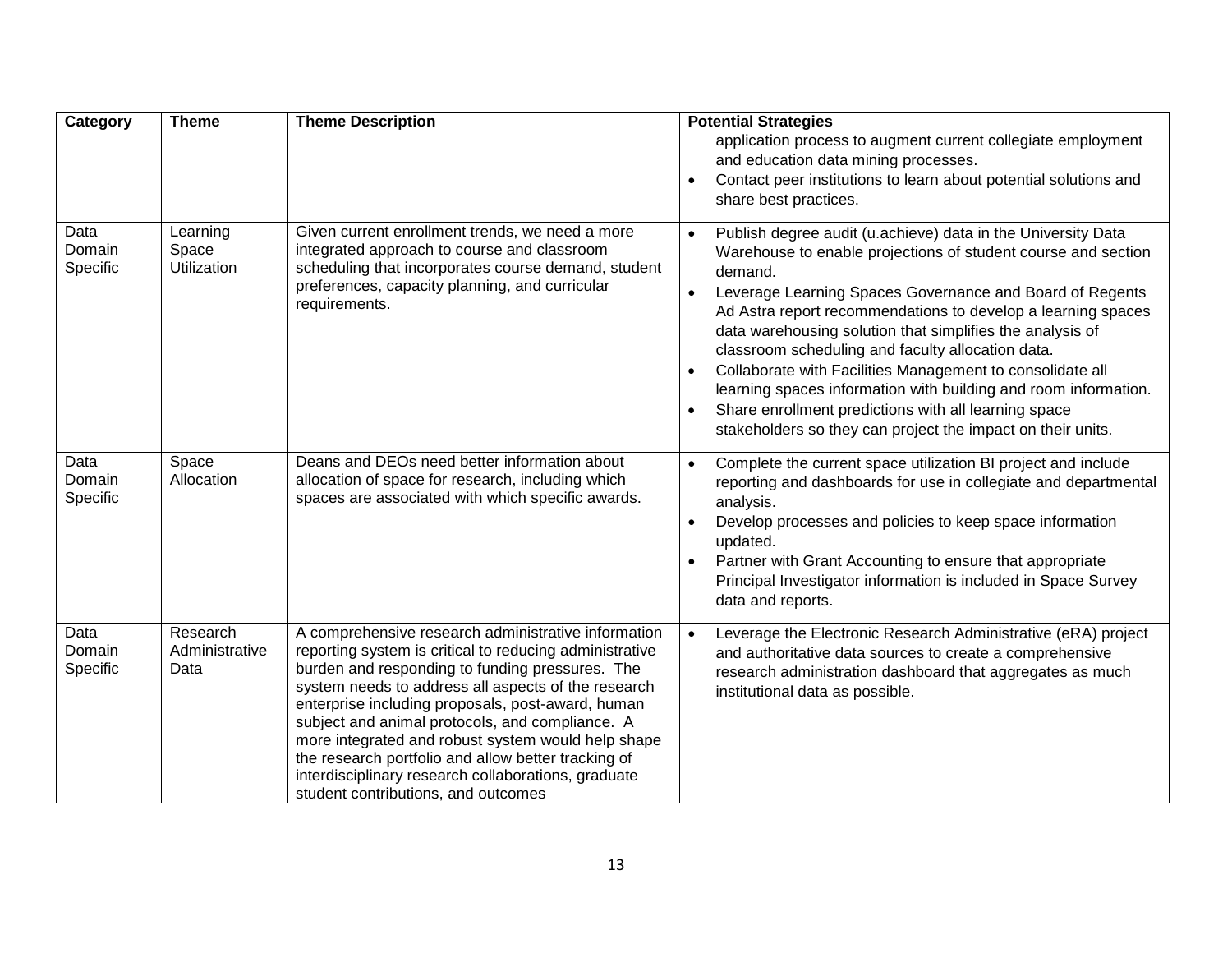| Category                   | <b>Theme</b>                       | <b>Theme Description</b>                                                                                                                                                                                                                                                                                                                                                                                                                                                                                                                    | <b>Potential Strategies</b>                                                                                                                                                                                                                                                                                                                                                                                                                                                                                                                                                                                                                                                                       |
|----------------------------|------------------------------------|---------------------------------------------------------------------------------------------------------------------------------------------------------------------------------------------------------------------------------------------------------------------------------------------------------------------------------------------------------------------------------------------------------------------------------------------------------------------------------------------------------------------------------------------|---------------------------------------------------------------------------------------------------------------------------------------------------------------------------------------------------------------------------------------------------------------------------------------------------------------------------------------------------------------------------------------------------------------------------------------------------------------------------------------------------------------------------------------------------------------------------------------------------------------------------------------------------------------------------------------------------|
|                            |                                    |                                                                                                                                                                                                                                                                                                                                                                                                                                                                                                                                             | application process to augment current collegiate employment<br>and education data mining processes.<br>Contact peer institutions to learn about potential solutions and<br>$\bullet$<br>share best practices.                                                                                                                                                                                                                                                                                                                                                                                                                                                                                    |
| Data<br>Domain<br>Specific | Learning<br>Space<br>Utilization   | Given current enrollment trends, we need a more<br>integrated approach to course and classroom<br>scheduling that incorporates course demand, student<br>preferences, capacity planning, and curricular<br>requirements.                                                                                                                                                                                                                                                                                                                    | Publish degree audit (u.achieve) data in the University Data<br>$\bullet$<br>Warehouse to enable projections of student course and section<br>demand.<br>Leverage Learning Spaces Governance and Board of Regents<br>$\bullet$<br>Ad Astra report recommendations to develop a learning spaces<br>data warehousing solution that simplifies the analysis of<br>classroom scheduling and faculty allocation data.<br>Collaborate with Facilities Management to consolidate all<br>$\bullet$<br>learning spaces information with building and room information.<br>Share enrollment predictions with all learning space<br>$\bullet$<br>stakeholders so they can project the impact on their units. |
| Data<br>Domain<br>Specific | Space<br>Allocation                | Deans and DEOs need better information about<br>allocation of space for research, including which<br>spaces are associated with which specific awards.                                                                                                                                                                                                                                                                                                                                                                                      | Complete the current space utilization BI project and include<br>$\bullet$<br>reporting and dashboards for use in collegiate and departmental<br>analysis.<br>Develop processes and policies to keep space information<br>$\bullet$<br>updated.<br>Partner with Grant Accounting to ensure that appropriate<br>$\bullet$<br>Principal Investigator information is included in Space Survey<br>data and reports.                                                                                                                                                                                                                                                                                   |
| Data<br>Domain<br>Specific | Research<br>Administrative<br>Data | A comprehensive research administrative information<br>reporting system is critical to reducing administrative<br>burden and responding to funding pressures. The<br>system needs to address all aspects of the research<br>enterprise including proposals, post-award, human<br>subject and animal protocols, and compliance. A<br>more integrated and robust system would help shape<br>the research portfolio and allow better tracking of<br>interdisciplinary research collaborations, graduate<br>student contributions, and outcomes | Leverage the Electronic Research Administrative (eRA) project<br>$\bullet$<br>and authoritative data sources to create a comprehensive<br>research administration dashboard that aggregates as much<br>institutional data as possible.                                                                                                                                                                                                                                                                                                                                                                                                                                                            |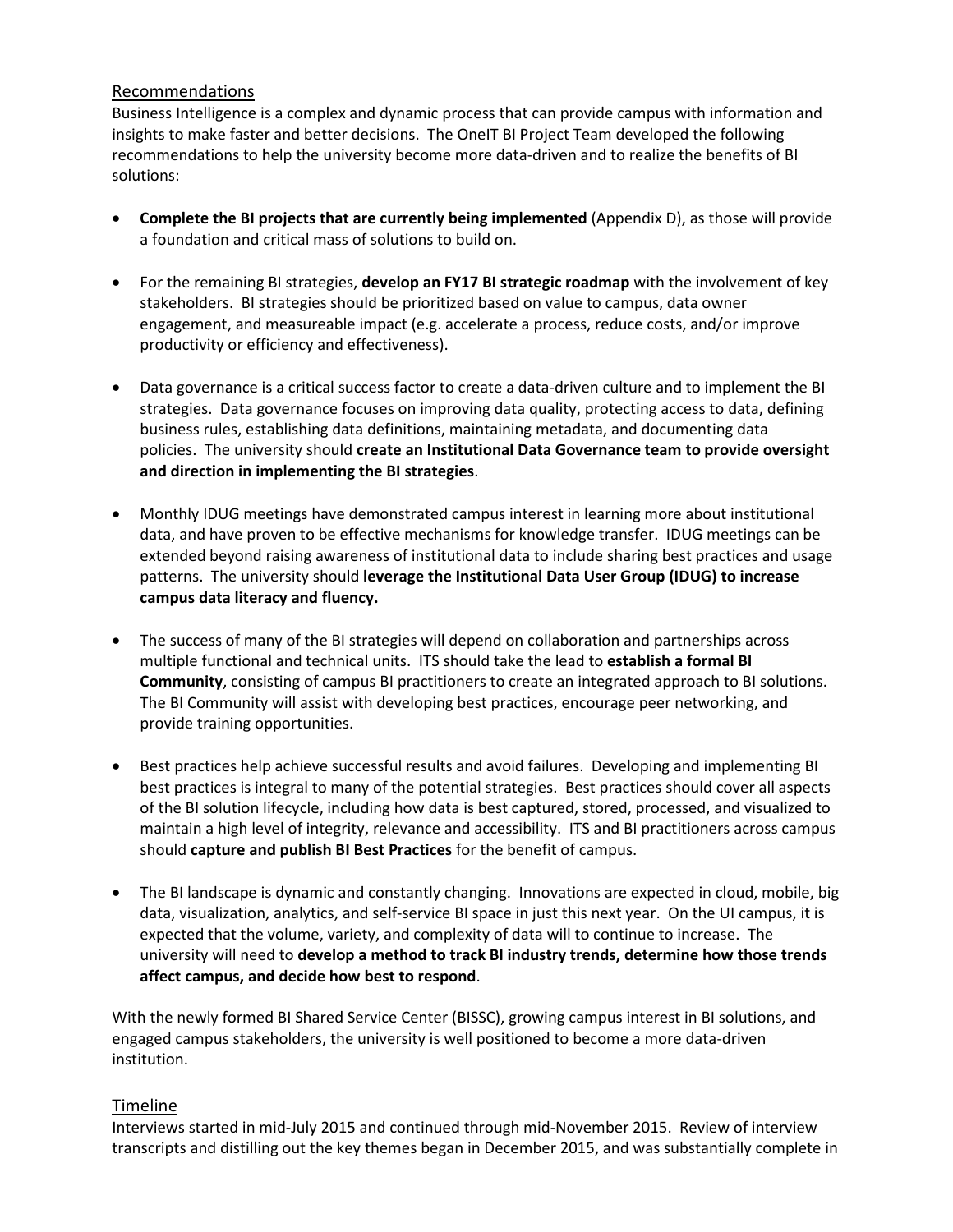#### <span id="page-13-0"></span>Recommendations

Business Intelligence is a complex and dynamic process that can provide campus with information and insights to make faster and better decisions. The OneIT BI Project Team developed the following recommendations to help the university become more data-driven and to realize the benefits of BI solutions:

- **Complete the BI projects that are currently being implemented** (Appendix D), as those will provide a foundation and critical mass of solutions to build on.
- For the remaining BI strategies, **develop an FY17 BI strategic roadmap** with the involvement of key stakeholders. BI strategies should be prioritized based on value to campus, data owner engagement, and measureable impact (e.g. accelerate a process, reduce costs, and/or improve productivity or efficiency and effectiveness).
- Data governance is a critical success factor to create a data-driven culture and to implement the BI strategies. Data governance focuses on improving data quality, protecting access to data, defining business rules, establishing data definitions, maintaining metadata, and documenting data policies. The university should **create an Institutional Data Governance team to provide oversight and direction in implementing the BI strategies**.
- Monthly IDUG meetings have demonstrated campus interest in learning more about institutional data, and have proven to be effective mechanisms for knowledge transfer. IDUG meetings can be extended beyond raising awareness of institutional data to include sharing best practices and usage patterns. The university should **leverage the Institutional Data User Group (IDUG) to increase campus data literacy and fluency.**
- The success of many of the BI strategies will depend on collaboration and partnerships across multiple functional and technical units. ITS should take the lead to **establish a formal BI Community**, consisting of campus BI practitioners to create an integrated approach to BI solutions. The BI Community will assist with developing best practices, encourage peer networking, and provide training opportunities.
- Best practices help achieve successful results and avoid failures. Developing and implementing BI best practices is integral to many of the potential strategies. Best practices should cover all aspects of the BI solution lifecycle, including how data is best captured, stored, processed, and visualized to maintain a high level of integrity, relevance and accessibility. ITS and BI practitioners across campus should **capture and publish BI Best Practices** for the benefit of campus.
- The BI landscape is dynamic and constantly changing. Innovations are expected in cloud, mobile, big data, visualization, analytics, and self-service BI space in just this next year. On the UI campus, it is expected that the volume, variety, and complexity of data will to continue to increase. The university will need to **develop a method to track BI industry trends, determine how those trends affect campus, and decide how best to respond**.

With the newly formed BI Shared Service Center (BISSC), growing campus interest in BI solutions, and engaged campus stakeholders, the university is well positioned to become a more data-driven institution.

#### <span id="page-13-1"></span>Timeline

Interviews started in mid-July 2015 and continued through mid-November 2015. Review of interview transcripts and distilling out the key themes began in December 2015, and was substantially complete in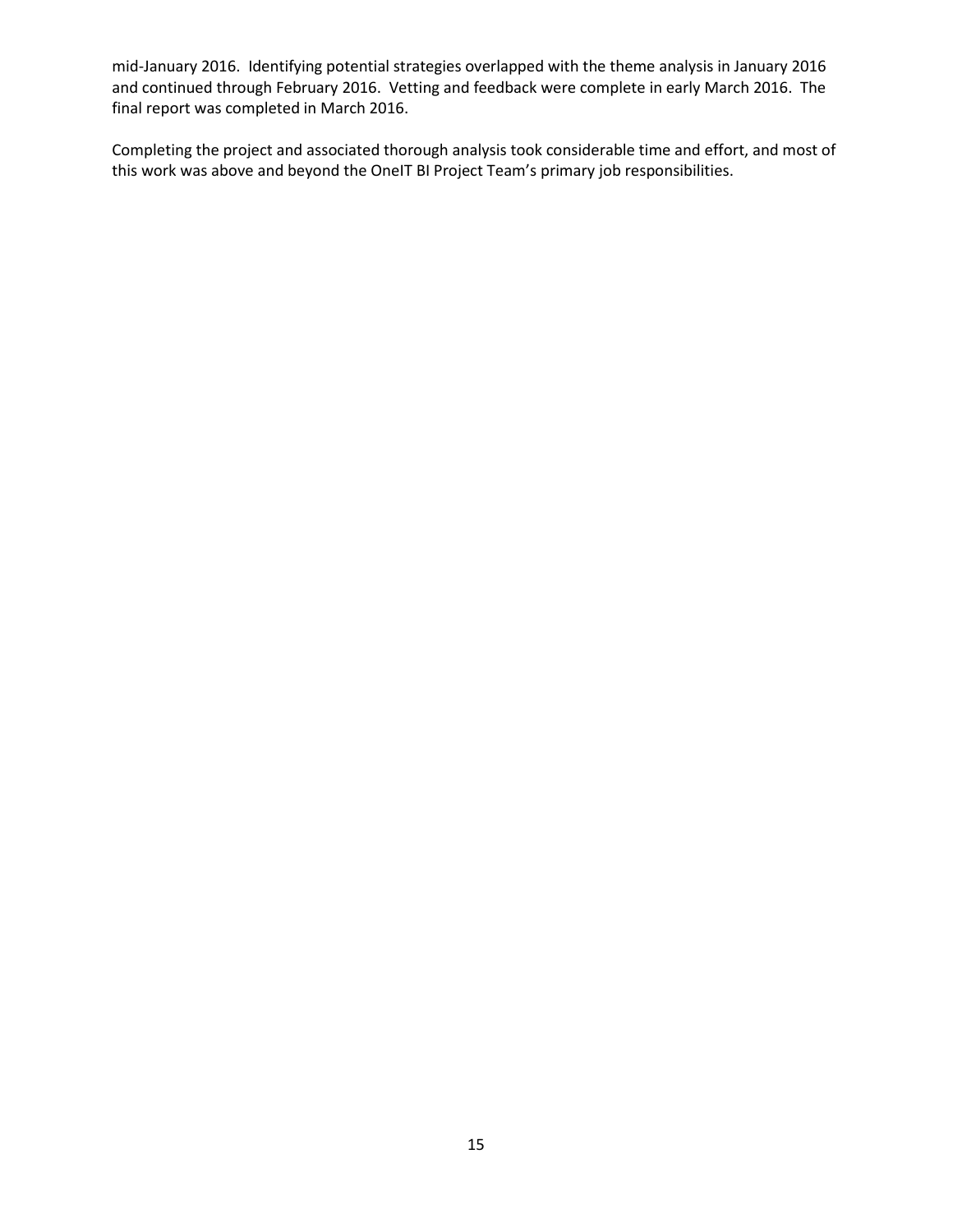mid-January 2016. Identifying potential strategies overlapped with the theme analysis in January 2016 and continued through February 2016. Vetting and feedback were complete in early March 2016. The final report was completed in March 2016.

Completing the project and associated thorough analysis took considerable time and effort, and most of this work was above and beyond the OneIT BI Project Team's primary job responsibilities.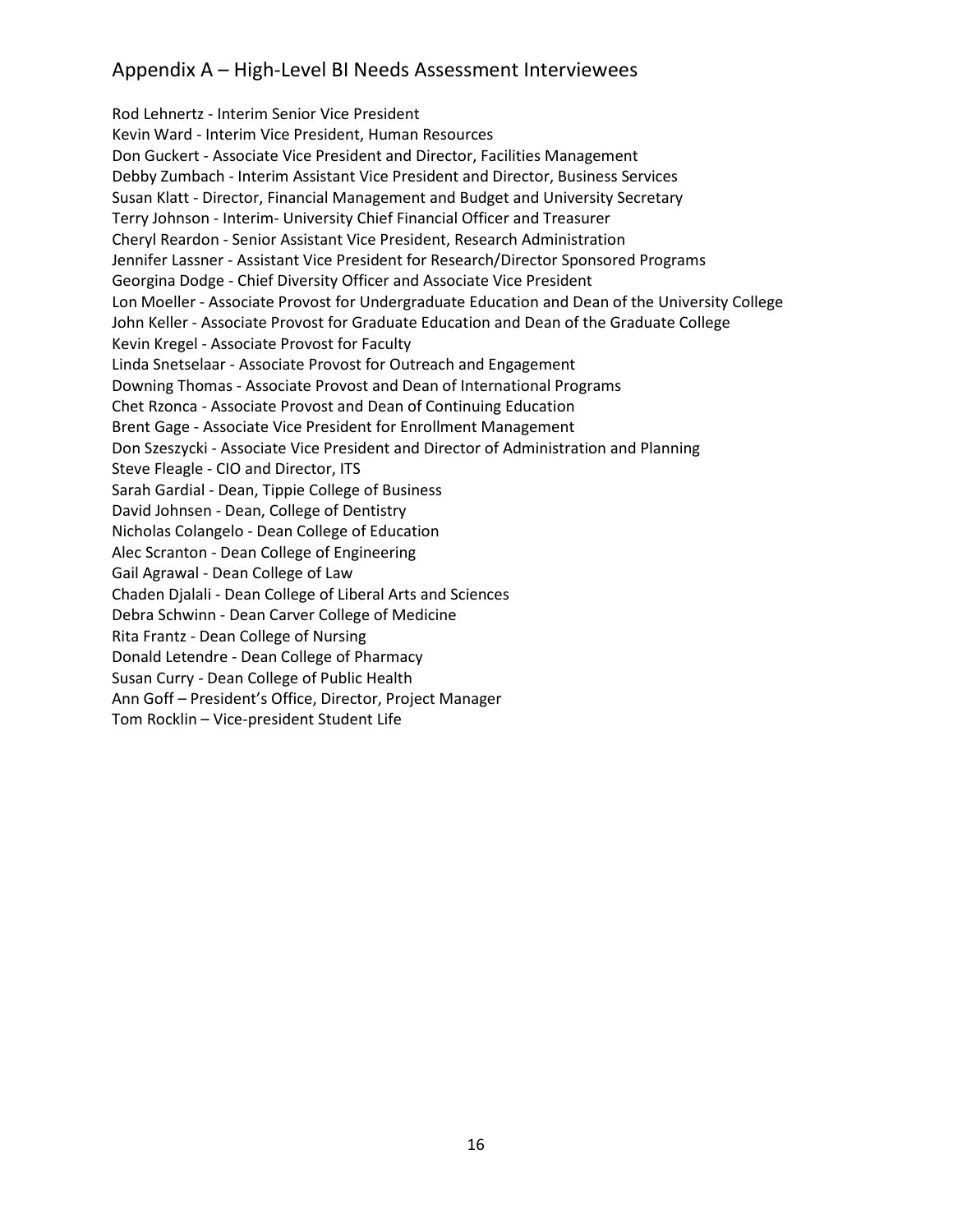## <span id="page-15-0"></span>Appendix A – High-Level BI Needs Assessment Interviewees

Rod Lehnertz - Interim Senior Vice President Kevin Ward - Interim Vice President, Human Resources Don Guckert - Associate Vice President and Director, Facilities Management Debby Zumbach - Interim Assistant Vice President and Director, Business Services Susan Klatt - Director, Financial Management and Budget and University Secretary Terry Johnson - Interim- University Chief Financial Officer and Treasurer Cheryl Reardon - Senior Assistant Vice President, Research Administration Jennifer Lassner - Assistant Vice President for Research/Director Sponsored Programs Georgina Dodge - Chief Diversity Officer and Associate Vice President Lon Moeller - Associate Provost for Undergraduate Education and Dean of the University College John Keller - Associate Provost for Graduate Education and Dean of the Graduate College Kevin Kregel - Associate Provost for Faculty Linda Snetselaar - Associate Provost for Outreach and Engagement Downing Thomas - Associate Provost and Dean of International Programs Chet Rzonca - Associate Provost and Dean of Continuing Education Brent Gage - Associate Vice President for Enrollment Management Don Szeszycki - Associate Vice President and Director of Administration and Planning Steve Fleagle - CIO and Director, ITS Sarah Gardial - Dean, Tippie College of Business David Johnsen - Dean, College of Dentistry Nicholas Colangelo - Dean College of Education Alec Scranton - Dean College of Engineering Gail Agrawal - Dean College of Law Chaden Djalali - Dean College of Liberal Arts and Sciences Debra Schwinn - Dean Carver College of Medicine Rita Frantz - Dean College of Nursing Donald Letendre - Dean College of Pharmacy Susan Curry - Dean College of Public Health Ann Goff – President's Office, Director, Project Manager Tom Rocklin – Vice-president Student Life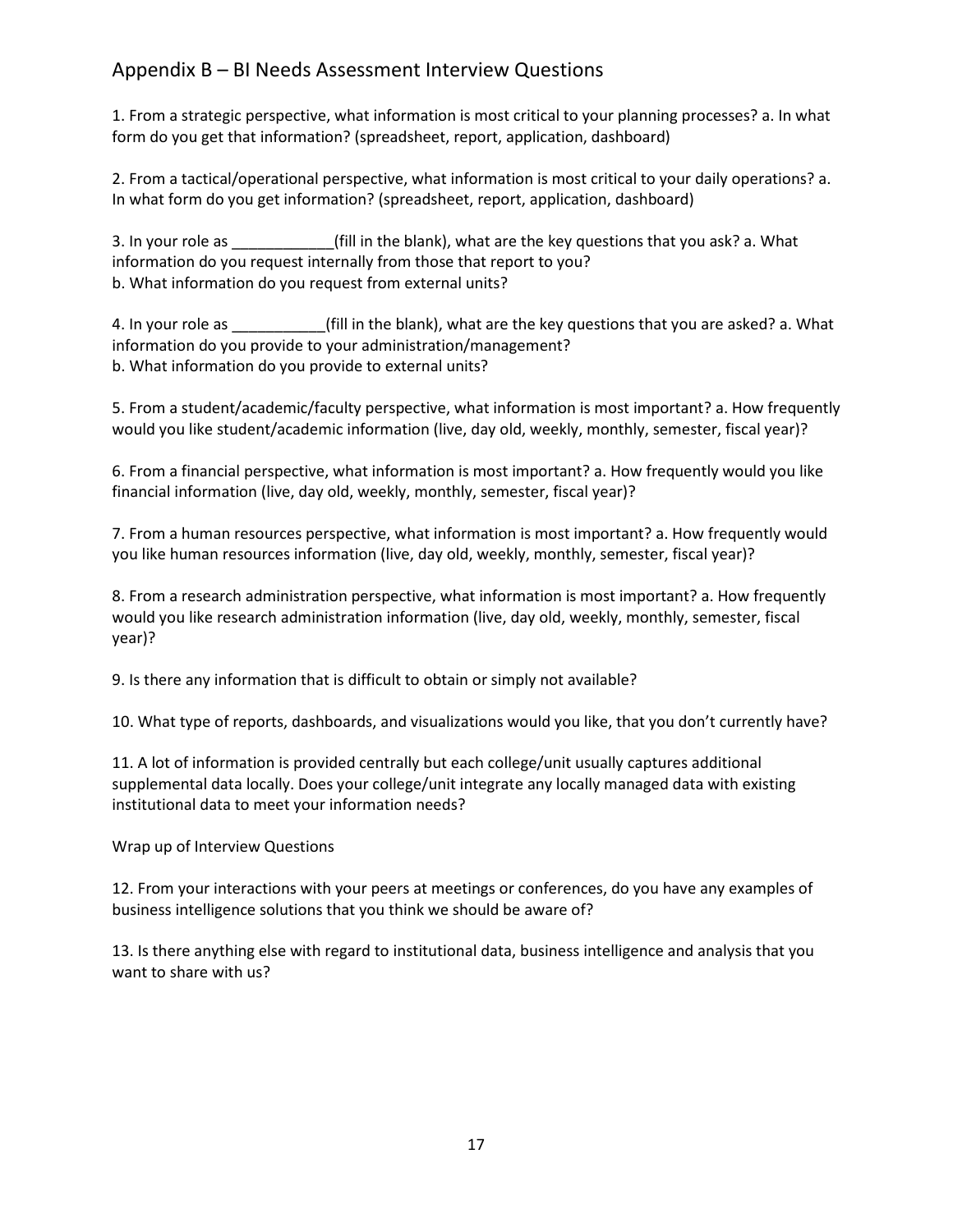## <span id="page-16-0"></span>Appendix B – BI Needs Assessment Interview Questions

1. From a strategic perspective, what information is most critical to your planning processes? a. In what form do you get that information? (spreadsheet, report, application, dashboard)

2. From a tactical/operational perspective, what information is most critical to your daily operations? a. In what form do you get information? (spreadsheet, report, application, dashboard)

3. In your role as  $\qquad \qquad$  (fill in the blank), what are the key questions that you ask? a. What information do you request internally from those that report to you? b. What information do you request from external units?

4. In your role as \_\_\_\_\_\_\_\_\_\_\_\_\_(fill in the blank), what are the key questions that you are asked? a. What information do you provide to your administration/management? b. What information do you provide to external units?

5. From a student/academic/faculty perspective, what information is most important? a. How frequently would you like student/academic information (live, day old, weekly, monthly, semester, fiscal year)?

6. From a financial perspective, what information is most important? a. How frequently would you like financial information (live, day old, weekly, monthly, semester, fiscal year)?

7. From a human resources perspective, what information is most important? a. How frequently would you like human resources information (live, day old, weekly, monthly, semester, fiscal year)?

8. From a research administration perspective, what information is most important? a. How frequently would you like research administration information (live, day old, weekly, monthly, semester, fiscal year)?

9. Is there any information that is difficult to obtain or simply not available?

10. What type of reports, dashboards, and visualizations would you like, that you don't currently have?

11. A lot of information is provided centrally but each college/unit usually captures additional supplemental data locally. Does your college/unit integrate any locally managed data with existing institutional data to meet your information needs?

Wrap up of Interview Questions

12. From your interactions with your peers at meetings or conferences, do you have any examples of business intelligence solutions that you think we should be aware of?

13. Is there anything else with regard to institutional data, business intelligence and analysis that you want to share with us?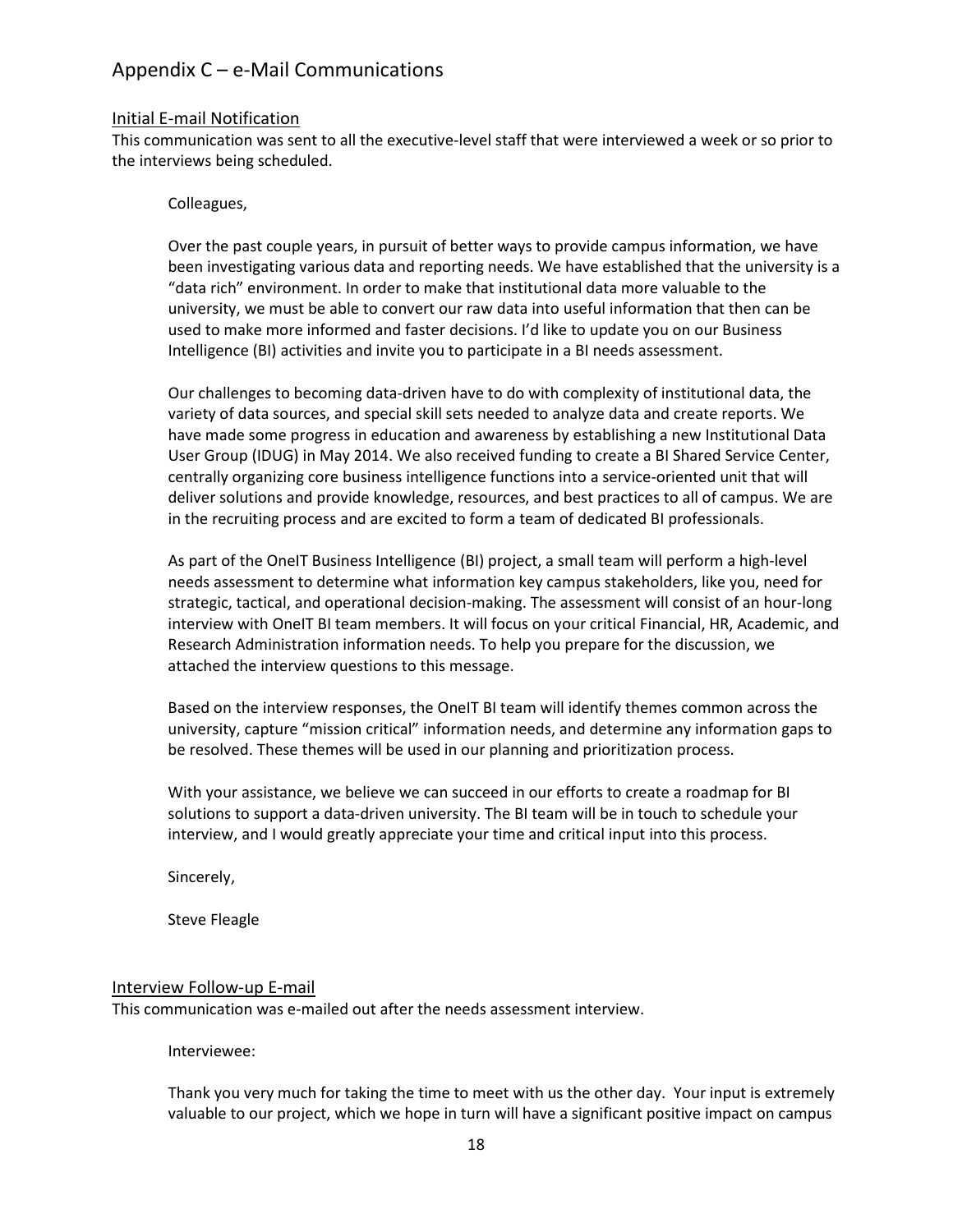## <span id="page-17-0"></span>Appendix C – e-Mail Communications

#### <span id="page-17-1"></span>Initial E-mail Notification

This communication was sent to all the executive-level staff that were interviewed a week or so prior to the interviews being scheduled.

#### Colleagues,

Over the past couple years, in pursuit of better ways to provide campus information, we have been investigating various data and reporting needs. We have established that the university is a "data rich" environment. In order to make that institutional data more valuable to the university, we must be able to convert our raw data into useful information that then can be used to make more informed and faster decisions. I'd like to update you on our Business Intelligence (BI) activities and invite you to participate in a BI needs assessment.

Our challenges to becoming data-driven have to do with complexity of institutional data, the variety of data sources, and special skill sets needed to analyze data and create reports. We have made some progress in education and awareness by establishing a new Institutional Data User Group (IDUG) in May 2014. We also received funding to create a BI Shared Service Center, centrally organizing core business intelligence functions into a service-oriented unit that will deliver solutions and provide knowledge, resources, and best practices to all of campus. We are in the recruiting process and are excited to form a team of dedicated BI professionals.

As part of the OneIT Business Intelligence (BI) project, a small team will perform a high-level needs assessment to determine what information key campus stakeholders, like you, need for strategic, tactical, and operational decision-making. The assessment will consist of an hour-long interview with OneIT BI team members. It will focus on your critical Financial, HR, Academic, and Research Administration information needs. To help you prepare for the discussion, we attached the interview questions to this message.

Based on the interview responses, the OneIT BI team will identify themes common across the university, capture "mission critical" information needs, and determine any information gaps to be resolved. These themes will be used in our planning and prioritization process.

With your assistance, we believe we can succeed in our efforts to create a roadmap for BI solutions to support a data-driven university. The BI team will be in touch to schedule your interview, and I would greatly appreciate your time and critical input into this process.

Sincerely,

Steve Fleagle

#### <span id="page-17-2"></span>Interview Follow-up E-mail

This communication was e-mailed out after the needs assessment interview.

Interviewee:

Thank you very much for taking the time to meet with us the other day. Your input is extremely valuable to our project, which we hope in turn will have a significant positive impact on campus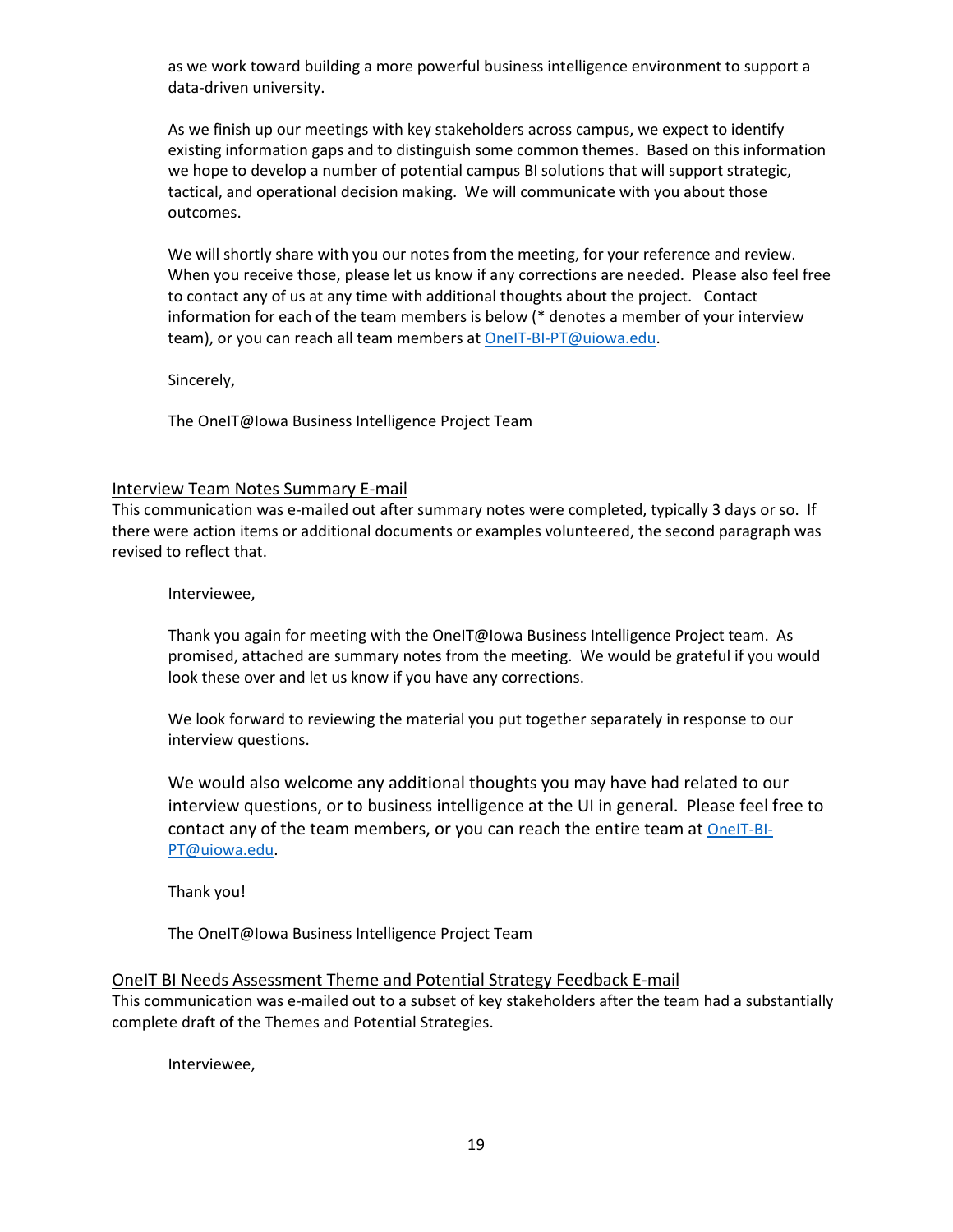as we work toward building a more powerful business intelligence environment to support a data-driven university.

As we finish up our meetings with key stakeholders across campus, we expect to identify existing information gaps and to distinguish some common themes. Based on this information we hope to develop a number of potential campus BI solutions that will support strategic, tactical, and operational decision making. We will communicate with you about those outcomes.

We will shortly share with you our notes from the meeting, for your reference and review. When you receive those, please let us know if any corrections are needed. Please also feel free to contact any of us at any time with additional thoughts about the project. Contact information for each of the team members is below (\* denotes a member of your interview team), or you can reach all team members a[t OneIT-BI-PT@uiowa.edu.](mailto:OneIT-BI-PT@uiowa.edu)

Sincerely,

The OneIT@Iowa Business Intelligence Project Team

#### <span id="page-18-0"></span>Interview Team Notes Summary E-mail

This communication was e-mailed out after summary notes were completed, typically 3 days or so. If there were action items or additional documents or examples volunteered, the second paragraph was revised to reflect that.

Interviewee,

Thank you again for meeting with the OneIT@Iowa Business Intelligence Project team. As promised, attached are summary notes from the meeting. We would be grateful if you would look these over and let us know if you have any corrections.

We look forward to reviewing the material you put together separately in response to our interview questions.

We would also welcome any additional thoughts you may have had related to our interview questions, or to business intelligence at the UI in general. Please feel free to contact any of the team members, or you can reach the entire team at [OneIT-BI-](mailto:OneIT-BI-PT@uiowa.edu)[PT@uiowa.edu.](mailto:OneIT-BI-PT@uiowa.edu)

Thank you!

The OneIT@Iowa Business Intelligence Project Team

#### <span id="page-18-1"></span>OneIT BI Needs Assessment Theme and Potential Strategy Feedback E-mail

This communication was e-mailed out to a subset of key stakeholders after the team had a substantially complete draft of the Themes and Potential Strategies.

Interviewee,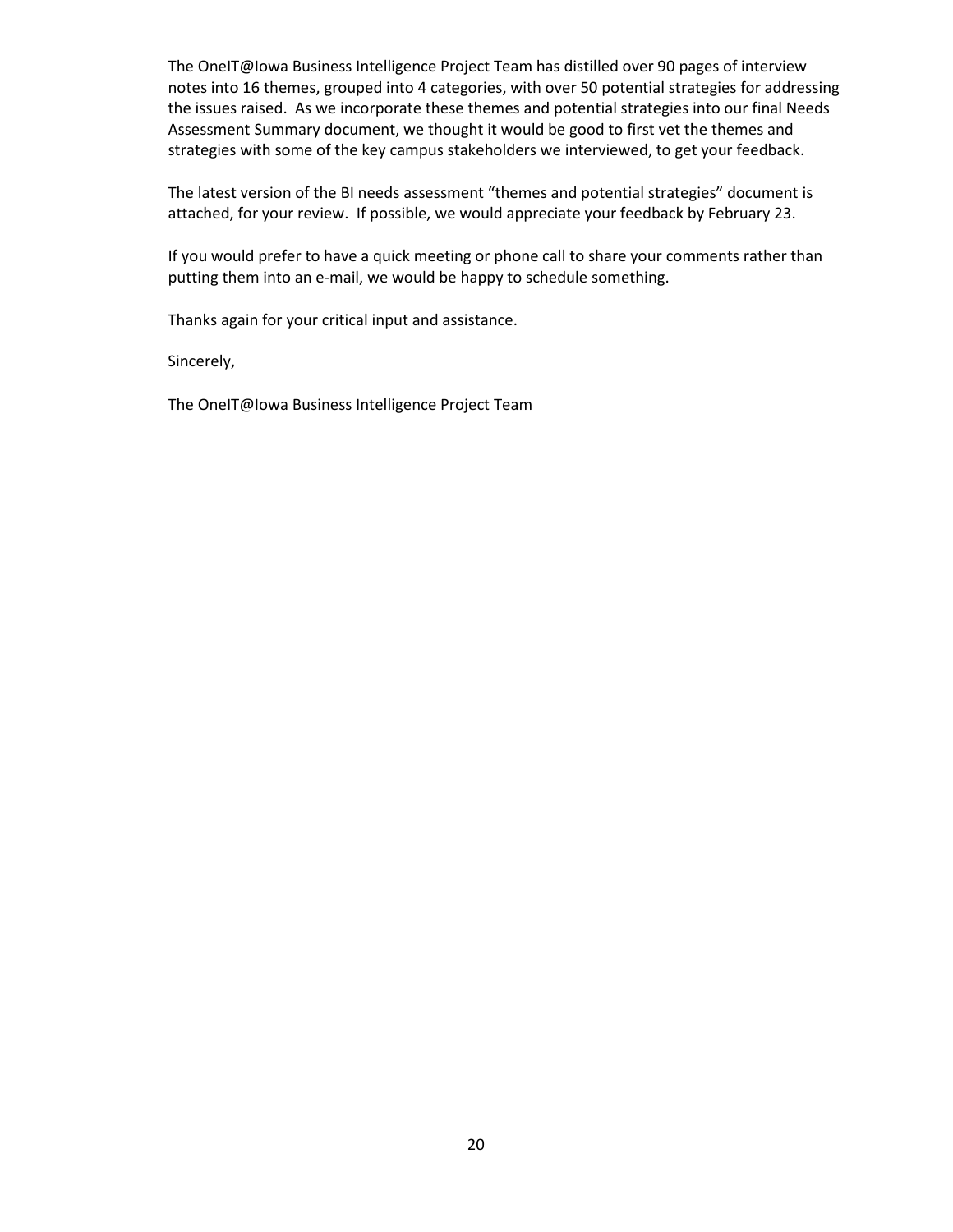The OneIT@Iowa Business Intelligence Project Team has distilled over 90 pages of interview notes into 16 themes, grouped into 4 categories, with over 50 potential strategies for addressing the issues raised. As we incorporate these themes and potential strategies into our final Needs Assessment Summary document, we thought it would be good to first vet the themes and strategies with some of the key campus stakeholders we interviewed, to get your feedback.

The latest version of the BI needs assessment "themes and potential strategies" document is attached, for your review. If possible, we would appreciate your feedback by February 23.

If you would prefer to have a quick meeting or phone call to share your comments rather than putting them into an e-mail, we would be happy to schedule something.

Thanks again for your critical input and assistance.

Sincerely,

The OneIT@Iowa Business Intelligence Project Team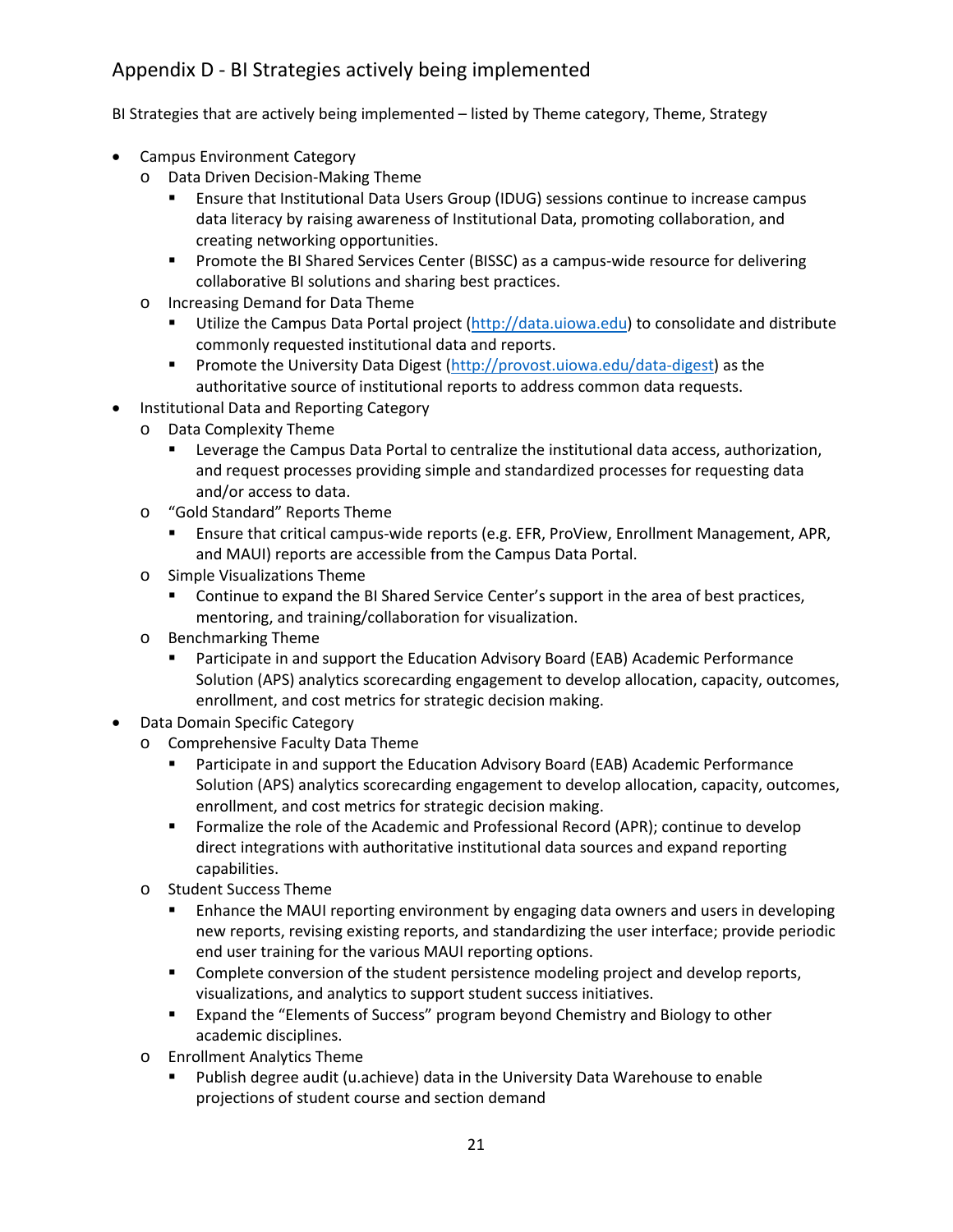## <span id="page-20-0"></span>Appendix D - BI Strategies actively being implemented

BI Strategies that are actively being implemented – listed by Theme category, Theme, Strategy

- Campus Environment Category
	- o Data Driven Decision-Making Theme
		- Ensure that Institutional Data Users Group (IDUG) sessions continue to increase campus data literacy by raising awareness of Institutional Data, promoting collaboration, and creating networking opportunities.
		- **Promote the BI Shared Services Center (BISSC) as a campus-wide resource for delivering** collaborative BI solutions and sharing best practices.
	- o Increasing Demand for Data Theme
		- **Utilize the Campus Data Portal project [\(http://data.uiowa.edu\)](http://data.uiowa.edu/) to consolidate and distribute** commonly requested institutional data and reports.
		- **Promote the University Data Digest [\(http://provost.uiowa.edu/data-digest\)](http://provost.uiowa.edu/data-digest) as the** authoritative source of institutional reports to address common data requests.
- Institutional Data and Reporting Category
	- o Data Complexity Theme
		- Leverage the Campus Data Portal to centralize the institutional data access, authorization, and request processes providing simple and standardized processes for requesting data and/or access to data.
	- o "Gold Standard" Reports Theme
		- Ensure that critical campus-wide reports (e.g. EFR, ProView, Enrollment Management, APR, and MAUI) reports are accessible from the Campus Data Portal.
	- o Simple Visualizations Theme
		- **Continue to expand the BI Shared Service Center's support in the area of best practices,** mentoring, and training/collaboration for visualization.
	- o Benchmarking Theme
		- Participate in and support the Education Advisory Board (EAB) Academic Performance Solution (APS) analytics scorecarding engagement to develop allocation, capacity, outcomes, enrollment, and cost metrics for strategic decision making.
- Data Domain Specific Category
	- o Comprehensive Faculty Data Theme
		- **Participate in and support the Education Advisory Board (EAB) Academic Performance** Solution (APS) analytics scorecarding engagement to develop allocation, capacity, outcomes, enrollment, and cost metrics for strategic decision making.
		- Formalize the role of the Academic and Professional Record (APR); continue to develop direct integrations with authoritative institutional data sources and expand reporting capabilities.
	- o Student Success Theme
		- **E** Enhance the MAUI reporting environment by engaging data owners and users in developing new reports, revising existing reports, and standardizing the user interface; provide periodic end user training for the various MAUI reporting options.
		- **Complete conversion of the student persistence modeling project and develop reports,** visualizations, and analytics to support student success initiatives.
		- **Expand the "Elements of Success" program beyond Chemistry and Biology to other** academic disciplines.
	- o Enrollment Analytics Theme
		- Publish degree audit (u.achieve) data in the University Data Warehouse to enable projections of student course and section demand